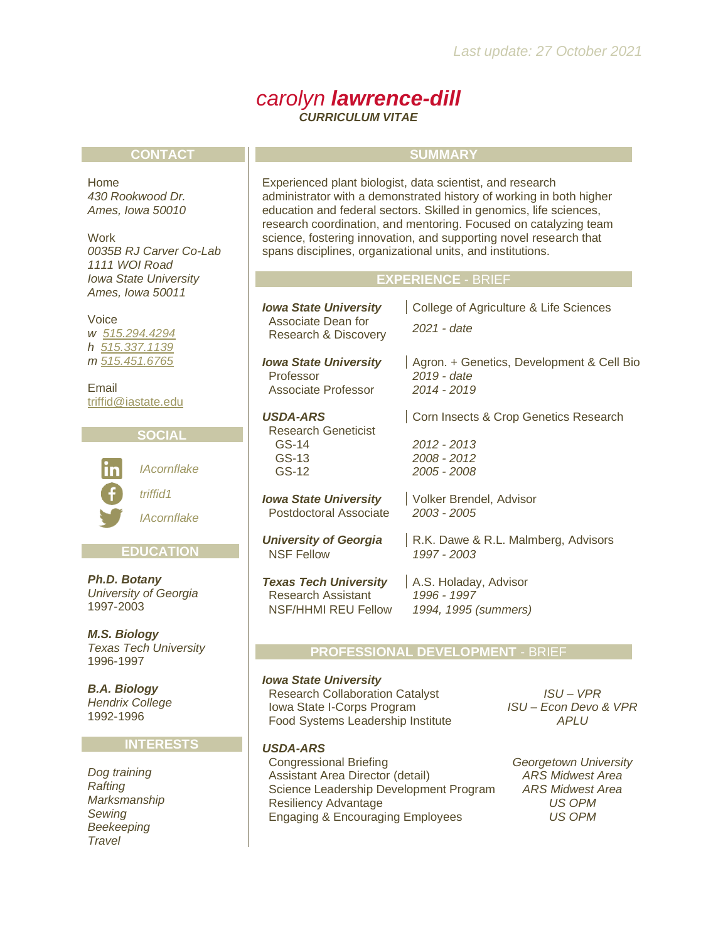## *carolyn lawrence-dill CURRICULUM VITAE*

#### **CONTACT**

Home *430 Rookwood Dr. Ames, Iowa 50010*

**Work** *0035B RJ Carver Co-Lab 1111 WOI Road Iowa State University Ames, Iowa 50011*

#### Voice

*w [515.294.4294](tel:+15152944294) h [515.337.1139](tel:+15153371139) m [515.451.6765](tel:+15154516765)*

Email [triffid@iastate.edu](mailto:triffid@iastate.edu)



## **EDUCATION**

*Ph.D. Botany University of Georgia* 1997-2003

*M.S. Biology Texas Tech University* 1996-1997

*B.A. Biology Hendrix College* 1992-1996

#### **INTERESTS**

*Dog training Rafting Marksmanship Sewing Beekeeping Travel*

#### **SUMMARY**

Experienced plant biologist, data scientist, and research administrator with a demonstrated history of working in both higher education and federal sectors. Skilled in genomics, life sciences, research coordination, and mentoring. Focused on catalyzing team science, fostering innovation, and supporting novel research that spans disciplines, organizational units, and institutions.

#### **EXPERIENCE** - BRIEF

GS-12 *2005 - 2008*

*Iowa State University* | College of Agriculture & Life Sciences

 Associate Dean for Research & Discovery *2021 - date*

*Iowa State University* | Agron. + Genetics, Development & Cell Bio Professor *2019 - date* Associate Professor *2014 - 2019*

#### **USDA-ARS** Corn Insects & Crop Genetics Research

Research Geneticist<br>GS-14 GS-14 *2012 - 2013* GS-13 *2008 - 2012*

*Iowa State University* | Volker Brendel, Advisor Postdoctoral Associate *2003 - 2005*

**University of Georgia** | R.K. Dawe & R.L. Malmberg, Advisors NSF Fellow *1997 - 2003*

**Texas Tech University** | A.S. Holaday, Advisor<br>Research Assistant 1996 - 1997 **Research Assistant** NSF/HHMI REU Fellow *1994, 1995 (summers)*

#### **PROFESSIONAL DEVELOPMENT** - BRIEF

#### *Iowa State University*

 Research Collaboration Catalyst *ISU – VPR*  Iowa State I-Corps Program Food Systems Leadership Institute

*ISU – Econ Devo & VPR APLU*

#### *USDA-ARS*

 Congressional Briefing *Georgetown University* Assistant Area Director (detail) *ARS Midwest Area* Science Leadership Development Program *ARS Midwest Area* Resiliency Advantage *US OPM* Engaging & Encouraging Employees *US OPM*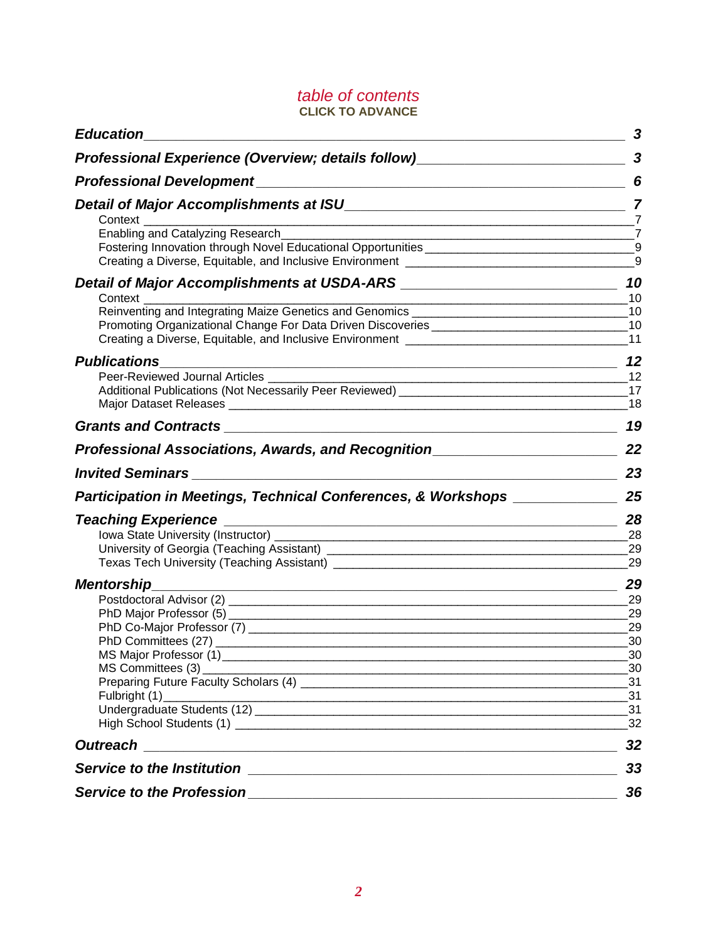## *table of contents* **CLICK TO ADVANCE**

| <b>Education</b>                                                                                                                                                                                                                                                                               | 3                                           |
|------------------------------------------------------------------------------------------------------------------------------------------------------------------------------------------------------------------------------------------------------------------------------------------------|---------------------------------------------|
|                                                                                                                                                                                                                                                                                                |                                             |
|                                                                                                                                                                                                                                                                                                |                                             |
|                                                                                                                                                                                                                                                                                                | $-7$                                        |
| Enabling and Catalyzing Research__________<br>$\overline{z}$<br>Creating a Diverse, Equitable, and Inclusive Environment [1944] [1945] Creating a Diverse, Equitable, and Inclusive Environment [1946] [1946] [1946] [1946] [1946] [1946] [1946] [1946] [1946] [1946] [1946] [1946] [1946] [19 | 9                                           |
|                                                                                                                                                                                                                                                                                                | 10<br>10                                    |
| Reinventing and Integrating Maize Genetics and Genomics ________________________<br>Promoting Organizational Change For Data Driven Discoveries _____________________                                                                                                                          | 10<br>10<br>11                              |
| <b>Publications</b>                                                                                                                                                                                                                                                                            | 12                                          |
| Peer-Reviewed Journal Articles<br>Additional Publications (Not Necessarily Peer Reviewed) [1989] [2002] [2003] [2003] [2003] [2003] [2003] [2003] [2003] [2003] [2003] [2003] [2003] [2003] [2003] [2003] [2003] [2003] [2003] [2003] [2003] [2003] [2003] [2003                               | 12<br>17<br>18                              |
|                                                                                                                                                                                                                                                                                                | 19                                          |
| Professional Associations, Awards, and Recognition______________________________                                                                                                                                                                                                               | 22                                          |
|                                                                                                                                                                                                                                                                                                | 23<br><u> 1980 - Johann Barbara, martxa</u> |
| Participation in Meetings, Technical Conferences, & Workshops _____________                                                                                                                                                                                                                    | 25                                          |
|                                                                                                                                                                                                                                                                                                | 28<br>- 28<br>29<br>29                      |
| <b>Mentorship</b><br><u> 1989 - Johann Stein, marwolaethau a bhann an t-Amhain an t-Amhain an t-Amhain an t-Amhain an t-Amhain an t-A</u>                                                                                                                                                      | 29                                          |
|                                                                                                                                                                                                                                                                                                | -29<br>29<br>29<br>30                       |
| MS Major Professor (1)<br>MS Committees (3)                                                                                                                                                                                                                                                    | 30<br>30<br>31                              |
| Fulbright (1)<br><u> 1989 - Johann Stoff, deutscher Stoffen und der Stoffen und der Stoffen und der Stoffen und der Stoffen und der</u>                                                                                                                                                        | 31<br>31<br>32                              |
| <b>Outreach</b><br><u> 1989 - Jan Sterner, amerikansk politiker (d. 1989)</u>                                                                                                                                                                                                                  | 32                                          |
| <b>Service to the Institution</b><br><u> 1989 - Andrea Stadt Britain, amerikansk politiker (</u>                                                                                                                                                                                               | 33                                          |
| Service to the Profession<br><u> 1989 - Johann Stein, mars an deutscher Stein und der Stein und der Stein und der Stein und der Stein und der</u>                                                                                                                                              | 36                                          |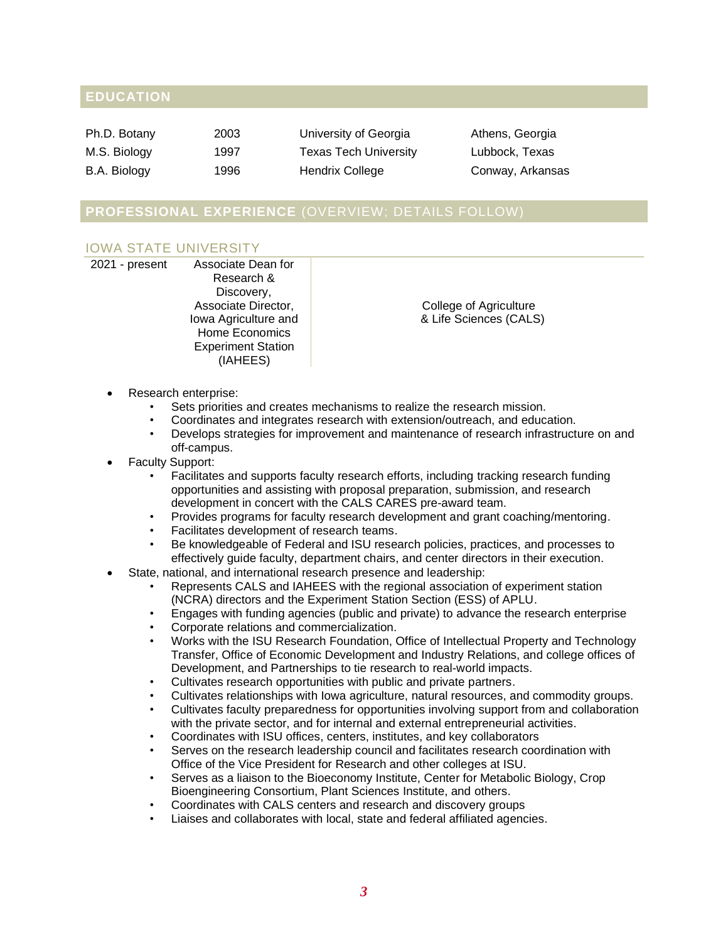## **EDUCATION**

| Ph.D. Botany | 2003 | University of Georgia | Athens, Georgia  |
|--------------|------|-----------------------|------------------|
| M.S. Biology | 1997 | Texas Tech University | Lubbock, Texas   |
| B.A. Biology | 1996 | Hendrix College       | Conway, Arkansas |

## **PROFESSIONAL EXPERIENCE** (OVERVIEW; DETAILS FOLLOW)

## IOWA STATE UNIVERSITY

| 2021 - present | Associate Dean for        |
|----------------|---------------------------|
|                | Research &                |
|                | Discovery,                |
|                | Associate Director,       |
|                | Iowa Agriculture and      |
|                | Home Economics            |
|                | <b>Experiment Station</b> |
|                | (IAHEES)                  |
|                |                           |

College of Agriculture & Life Sciences (CALS)

- Research enterprise:
	- Sets priorities and creates mechanisms to realize the research mission.
	- Coordinates and integrates research with extension/outreach, and education.
	- Develops strategies for improvement and maintenance of research infrastructure on and off-campus.
- Faculty Support:
	- Facilitates and supports faculty research efforts, including tracking research funding opportunities and assisting with proposal preparation, submission, and research development in concert with the CALS CARES pre-award team.
	- Provides programs for faculty research development and grant coaching/mentoring.
	- Facilitates development of research teams.
	- Be knowledgeable of Federal and ISU research policies, practices, and processes to effectively guide faculty, department chairs, and center directors in their execution.
- State, national, and international research presence and leadership:
	- Represents CALS and IAHEES with the regional association of experiment station (NCRA) directors and the Experiment Station Section (ESS) of APLU.
	- Engages with funding agencies (public and private) to advance the research enterprise
	- Corporate relations and commercialization.
	- Works with the ISU Research Foundation, Office of Intellectual Property and Technology Transfer, Office of Economic Development and Industry Relations, and college offices of Development, and Partnerships to tie research to real-world impacts.
	- Cultivates research opportunities with public and private partners.
	- Cultivates relationships with Iowa agriculture, natural resources, and commodity groups.
	- Cultivates faculty preparedness for opportunities involving support from and collaboration with the private sector, and for internal and external entrepreneurial activities.
	- Coordinates with ISU offices, centers, institutes, and key collaborators
	- Serves on the research leadership council and facilitates research coordination with Office of the Vice President for Research and other colleges at ISU.
	- Serves as a liaison to the Bioeconomy Institute, Center for Metabolic Biology, Crop Bioengineering Consortium, Plant Sciences Institute, and others.
	- Coordinates with CALS centers and research and discovery groups
	- Liaises and collaborates with local, state and federal affiliated agencies.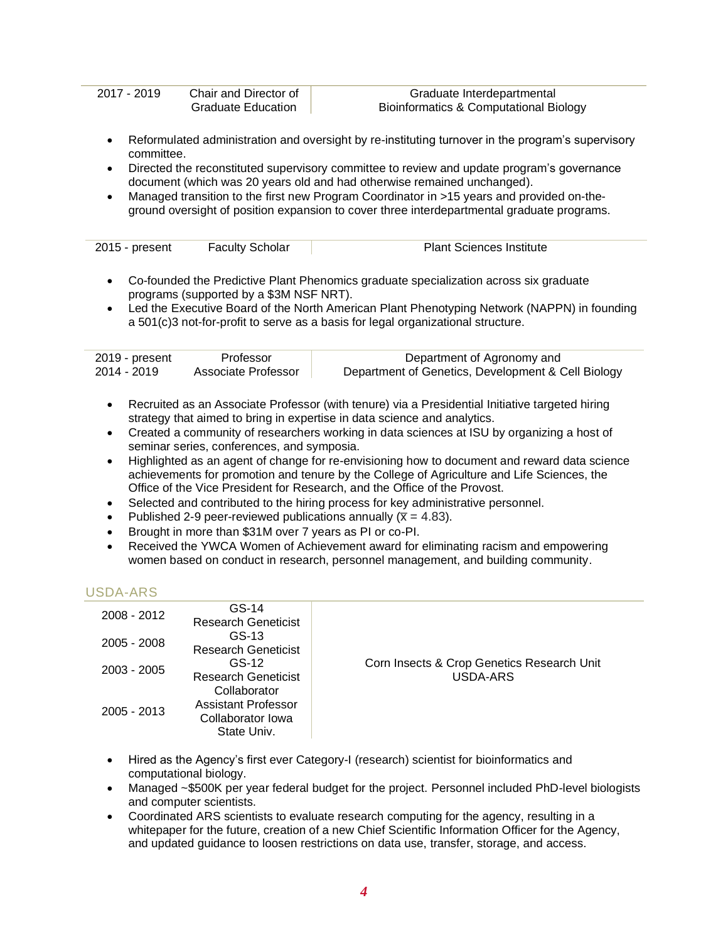| 2017 - 2019             | Chair and Director of                   | Graduate Interdepartmental                                                                                                                                                      |
|-------------------------|-----------------------------------------|---------------------------------------------------------------------------------------------------------------------------------------------------------------------------------|
|                         | <b>Graduate Education</b>               | <b>Bioinformatics &amp; Computational Biology</b>                                                                                                                               |
| $\bullet$<br>committee. |                                         | Reformulated administration and oversight by re-instituting turnover in the program's supervisory                                                                               |
| $\bullet$               |                                         | Directed the reconstituted supervisory committee to review and update program's governance<br>document (which was 20 years old and had otherwise remained unchanged).           |
| $\bullet$               |                                         | Managed transition to the first new Program Coordinator in >15 years and provided on-the-                                                                                       |
|                         |                                         | ground oversight of position expansion to cover three interdepartmental graduate programs.                                                                                      |
|                         |                                         |                                                                                                                                                                                 |
| 2015 - present          | <b>Faculty Scholar</b>                  | <b>Plant Sciences Institute</b>                                                                                                                                                 |
|                         |                                         |                                                                                                                                                                                 |
| $\bullet$               |                                         | Co-founded the Predictive Plant Phenomics graduate specialization across six graduate                                                                                           |
|                         | programs (supported by a \$3M NSF NRT). |                                                                                                                                                                                 |
| $\bullet$               |                                         | Led the Executive Board of the North American Plant Phenotyping Network (NAPPN) in founding<br>a 501(c)3 not-for-profit to serve as a basis for legal organizational structure. |
|                         |                                         |                                                                                                                                                                                 |
| 2019 - present          | Professor                               | Department of Agronomy and                                                                                                                                                      |
| 2014 - 2019             | Associate Professor                     | Department of Genetics, Development & Cell Biology                                                                                                                              |
| $\bullet$               |                                         | Recruited as an Associate Professor (with tenure) via a Presidential Initiative targeted hiring                                                                                 |
|                         |                                         | strategy that aimed to bring in expertise in data science and analytics.                                                                                                        |
|                         |                                         |                                                                                                                                                                                 |

- Created a community of researchers working in data sciences at ISU by organizing a host of seminar series, conferences, and symposia.
- Highlighted as an agent of change for re-envisioning how to document and reward data science achievements for promotion and tenure by the College of Agriculture and Life Sciences, the Office of the Vice President for Research, and the Office of the Provost.
- Selected and contributed to the hiring process for key administrative personnel.
- Published 2-9 peer-reviewed publications annually ( $\overline{x}$  = 4.83).
- Brought in more than \$31M over 7 years as PI or co-PI.
- Received the YWCA Women of Achievement award for eliminating racism and empowering women based on conduct in research, personnel management, and building community.

## USDA-ARS

| 2008 - 2012   | GS-14<br><b>Research Geneticist</b>                                     |                                                        |
|---------------|-------------------------------------------------------------------------|--------------------------------------------------------|
| 2005 - 2008   | $GS-13$<br><b>Research Geneticist</b>                                   |                                                        |
| $2003 - 2005$ | $GS-12$<br><b>Research Geneticist</b>                                   | Corn Insects & Crop Genetics Research Unit<br>USDA-ARS |
| $2005 - 2013$ | Collaborator<br>Assistant Professor<br>Collaborator Iowa<br>State Univ. |                                                        |

- Hired as the Agency's first ever Category-I (research) scientist for bioinformatics and computational biology.
- Managed ~\$500K per year federal budget for the project. Personnel included PhD-level biologists and computer scientists.
- Coordinated ARS scientists to evaluate research computing for the agency, resulting in a whitepaper for the future, creation of a new Chief Scientific Information Officer for the Agency, and updated guidance to loosen restrictions on data use, transfer, storage, and access.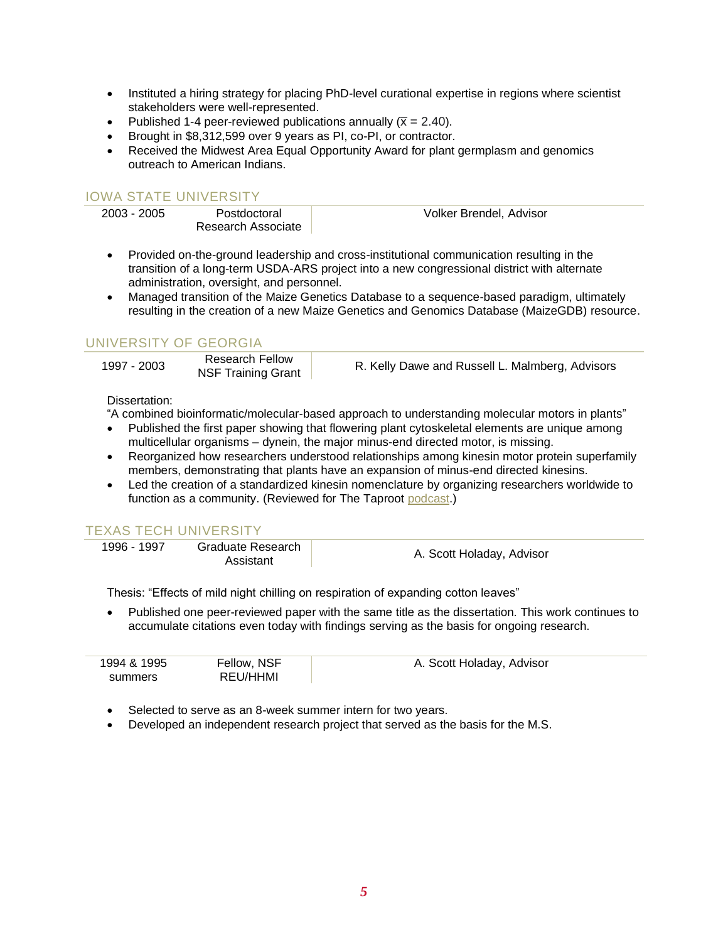- Instituted a hiring strategy for placing PhD-level curational expertise in regions where scientist stakeholders were well-represented.
- Published 1-4 peer-reviewed publications annually ( $\bar{x}$  = 2.40).
- Brought in \$8,312,599 over 9 years as PI, co-PI, or contractor.
- Received the Midwest Area Equal Opportunity Award for plant germplasm and genomics outreach to American Indians.

### IOWA STATE UNIVERSITY

| 2003 - 2005 | Postdoctoral       | Volker Brendel, Advisor |
|-------------|--------------------|-------------------------|
|             | Research Associate |                         |
|             |                    |                         |

- Provided on-the-ground leadership and cross-institutional communication resulting in the transition of a long-term USDA-ARS project into a new congressional district with alternate administration, oversight, and personnel.
- Managed transition of the Maize Genetics Database to a sequence-based paradigm, ultimately resulting in the creation of a new Maize Genetics and Genomics Database (MaizeGDB) resource.

## UNIVERSITY OF GEORGIA

| Research Fellow<br>1997 - 2003<br><b>NSF Training Grant</b> | R. Kelly Dawe and Russell L. Malmberg, Advisors |
|-------------------------------------------------------------|-------------------------------------------------|
|-------------------------------------------------------------|-------------------------------------------------|

#### Dissertation:

"A combined bioinformatic/molecular-based approach to understanding molecular motors in plants"

- Published the first paper showing that flowering plant cytoskeletal elements are unique among multicellular organisms – dynein, the major minus-end directed motor, is missing.
- Reorganized how researchers understood relationships among kinesin motor protein superfamily members, demonstrating that plants have an expansion of minus-end directed kinesins.
- Led the creation of a standardized kinesin nomenclature by organizing researchers worldwide to function as a community. (Reviewed for The Taproot [podcast.](https://plantae.org/taproot-podcast-s1e2-normalizing-nomenclature-and-the-idealism-of-youth-with-carolyn-lawrence-dill/))

#### TEXAS TECH UNIVERSITY

1996 - 1997 Graduate Research

date Research Manuel A. Scott Holaday, Advisor

Thesis: "Effects of mild night chilling on respiration of expanding cotton leaves"

• Published one peer-reviewed paper with the same title as the dissertation. This work continues to accumulate citations even today with findings serving as the basis for ongoing research.

| 1994 & 1995 | Fellow, NSF | A. Scott Holaday, Advisor |
|-------------|-------------|---------------------------|
| summers     | REU/HHMI    |                           |

- Selected to serve as an 8-week summer intern for two years.
- Developed an independent research project that served as the basis for the M.S.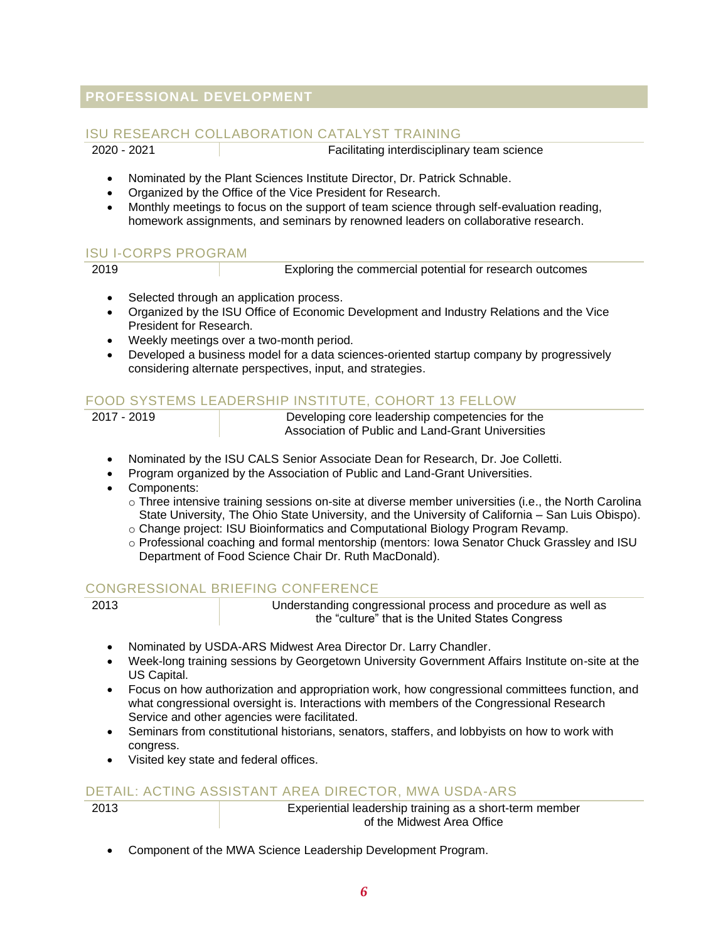## **PROFESSIONAL DEVELOPMENT**

## ISU RESEARCH COLLABORATION CATALYST TRAINING

2020 - 2021 Facilitating interdisciplinary team science

- Nominated by the Plant Sciences Institute Director, Dr. Patrick Schnable.
- Organized by the Office of the Vice President for Research.
- Monthly meetings to focus on the support of team science through self-evaluation reading, homework assignments, and seminars by renowned leaders on collaborative research.

## ISU I-CORPS PROGRAM

Exploring the commercial potential for research outcomes

- Selected through an application process.
- Organized by the ISU Office of Economic Development and Industry Relations and the Vice President for Research.
- Weekly meetings over a two-month period.
- Developed a business model for a data sciences-oriented startup company by progressively considering alternate perspectives, input, and strategies.

## FOOD SYSTEMS LEADERSHIP INSTITUTE, COHORT 13 FELLOW

Developing core leadership competencies for the Association of Public and Land-Grant Universities

- Nominated by the ISU CALS Senior Associate Dean for Research, Dr. Joe Colletti.
- Program organized by the Association of Public and Land-Grant Universities.
- Components:

o Three intensive training sessions on-site at diverse member universities (i.e., the North Carolina State University, The Ohio State University, and the University of California – San Luis Obispo).

- o Change project: ISU Bioinformatics and Computational Biology Program Revamp.
- o Professional coaching and formal mentorship (mentors: Iowa Senator Chuck Grassley and ISU Department of Food Science Chair Dr. Ruth MacDonald).

#### CONGRESSIONAL BRIEFING CONFERENCE

| ×<br>٠ | ۰, |
|--------|----|
|--------|----|

Understanding congressional process and procedure as well as the "culture" that is the United States Congress

- Nominated by USDA-ARS Midwest Area Director Dr. Larry Chandler.
- Week-long training sessions by Georgetown University Government Affairs Institute on-site at the US Capital.
- Focus on how authorization and appropriation work, how congressional committees function, and what congressional oversight is. Interactions with members of the Congressional Research Service and other agencies were facilitated.
- Seminars from constitutional historians, senators, staffers, and lobbyists on how to work with congress.
- Visited key state and federal offices.

## DETAIL: ACTING ASSISTANT AREA DIRECTOR, MWA USDA-ARS

Experiential leadership training as a short-term member of the Midwest Area Office

• Component of the MWA Science Leadership Development Program.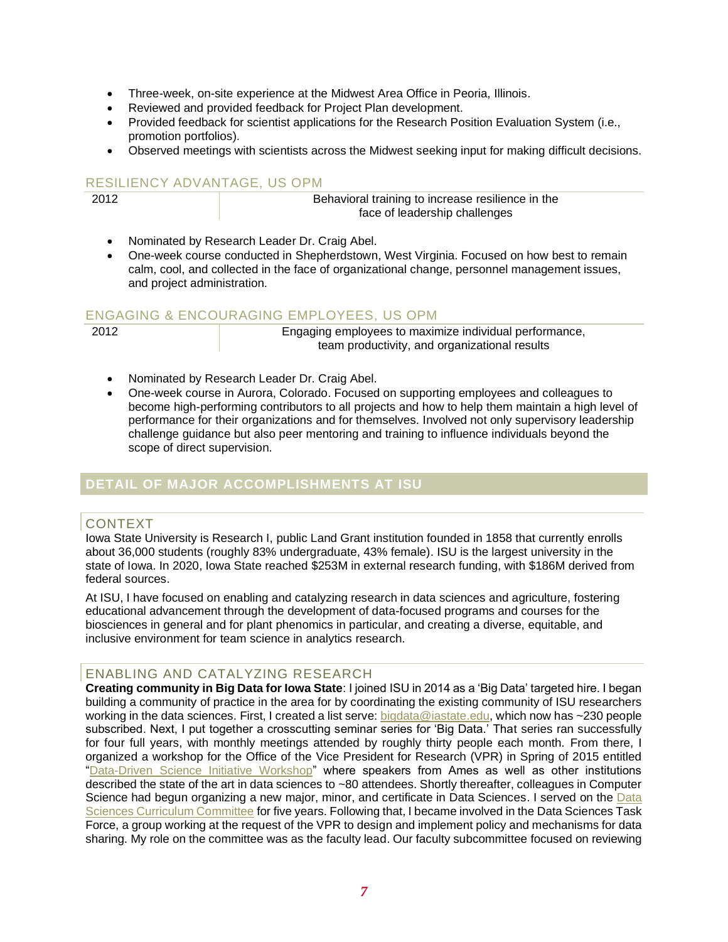- Three-week, on-site experience at the Midwest Area Office in Peoria, Illinois.
- Reviewed and provided feedback for Project Plan development.
- Provided feedback for scientist applications for the Research Position Evaluation System (i.e., promotion portfolios).
- Observed meetings with scientists across the Midwest seeking input for making difficult decisions.

## RESILIENCY ADVANTAGE, US OPM

2012 Behavioral training to increase resilience in the face of leadership challenges

- Nominated by Research Leader Dr. Craig Abel.
- One-week course conducted in Shepherdstown, West Virginia. Focused on how best to remain calm, cool, and collected in the face of organizational change, personnel management issues, and project administration.

#### ENGAGING & ENCOURAGING EMPLOYEES, US OPM

2012 Engaging employees to maximize individual performance, team productivity, and organizational results

- Nominated by Research Leader Dr. Craig Abel.
- One-week course in Aurora, Colorado. Focused on supporting employees and colleagues to become high-performing contributors to all projects and how to help them maintain a high level of performance for their organizations and for themselves. Involved not only supervisory leadership challenge guidance but also peer mentoring and training to influence individuals beyond the scope of direct supervision.

## **DETAIL OF MAJOR ACCOMPLISHMENTS AT ISU**

#### CONTEXT

Iowa State University is Research I, public Land Grant institution founded in 1858 that currently enrolls about 36,000 students (roughly 83% undergraduate, 43% female). ISU is the largest university in the state of Iowa. In 2020, Iowa State reached \$253M in external research funding, with \$186M derived from federal sources.

At ISU, I have focused on enabling and catalyzing research in data sciences and agriculture, fostering educational advancement through the development of data-focused programs and courses for the biosciences in general and for plant phenomics in particular, and creating a diverse, equitable, and inclusive environment for team science in analytics research.

#### ENABLING AND CATALYZING RESEARCH

**Creating community in Big Data for Iowa State**: I joined ISU in 2014 as a 'Big Data' targeted hire. I began building a community of practice in the area for by coordinating the existing community of ISU researchers working in the data sciences. First, I created a list serve: [bigdata@iastate.edu,](mailto:bigdata@iastate.edu) which now has ~230 people subscribed. Next, I put together a crosscutting seminar series for 'Big Data.' That series ran successfully for four full years, with monthly meetings attended by roughly thirty people each month. From there, I organized a workshop for the Office of the Vice President for Research (VPR) in Spring of 2015 entitled ["Data-Driven Science Initiative Workshop"](http://www.d3ai.iastate.edu/conferences-and-workshops/agenda-ddsi/) where speakers from Ames as well as other institutions described the state of the art in data sciences to ~80 attendees. Shortly thereafter, colleagues in Computer Science had begun organizing a new major, minor, and certificate in Data Sciences. I served on the [Data](https://datascience.iastate.edu/people)  [Sciences Curriculum Committee](https://datascience.iastate.edu/people) for five years. Following that, I became involved in the Data Sciences Task Force, a group working at the request of the VPR to design and implement policy and mechanisms for data sharing. My role on the committee was as the faculty lead. Our faculty subcommittee focused on reviewing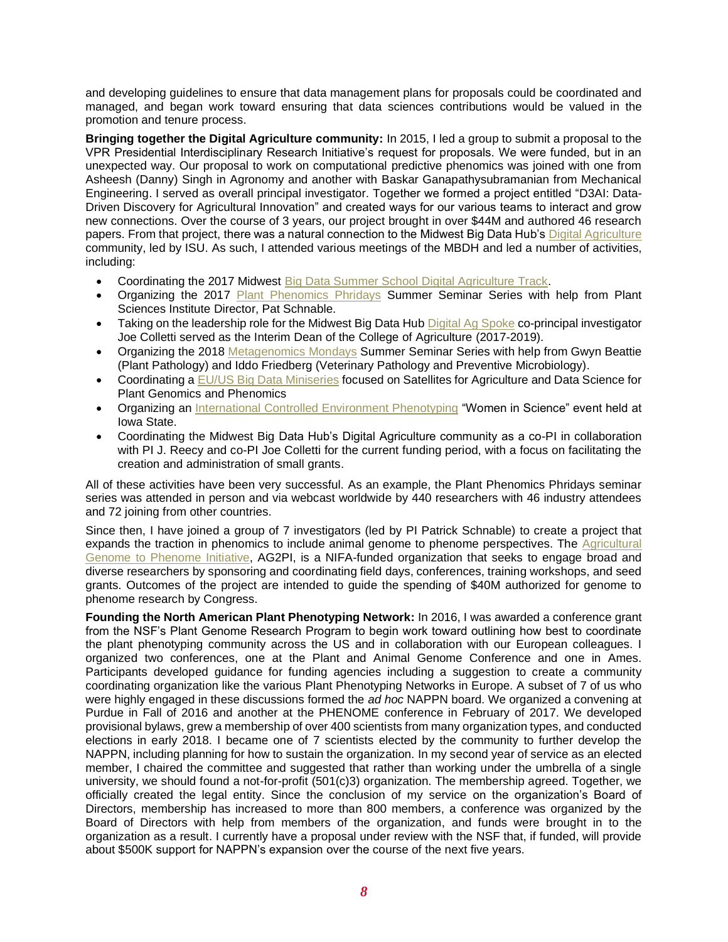and developing guidelines to ensure that data management plans for proposals could be coordinated and managed, and began work toward ensuring that data sciences contributions would be valued in the promotion and tenure process.

**Bringing together the Digital Agriculture community:** In 2015, I led a group to submit a proposal to the VPR Presidential Interdisciplinary Research Initiative's request for proposals. We were funded, but in an unexpected way. Our proposal to work on computational predictive phenomics was joined with one from Asheesh (Danny) Singh in Agronomy and another with Baskar Ganapathysubramanian from Mechanical Engineering. I served as overall principal investigator. Together we formed a project entitled "D3AI: Data-Driven Discovery for Agricultural Innovation" and created ways for our various teams to interact and grow new connections. Over the course of 3 years, our project brought in over \$44M and authored 46 research papers. From that project, there was a natural connection to the Midwest Big Data Hub's [Digital Agriculture](https://digital.ag.iastate.edu/) community, led by ISU. As such, I attended various meetings of the MBDH and led a number of activities, including:

- Coordinating the 2017 Midwest [Big Data Summer School Digital Agriculture Track.](http://mbds.cs.iastate.edu/2017/program.shtml)
- Organizing the 2017 [Plant Phenomics Phridays](https://vimeo.com/search?q=plant+phenomics+phridays) Summer Seminar Series with help from Plant Sciences Institute Director, Pat Schnable.
- Taking on the leadership role for the Midwest Big Data Hub [Digital Ag Spoke](https://digital.ag.iastate.edu/) co-principal investigator Joe Colletti served as the Interim Dean of the College of Agriculture (2017-2019).
- Organizing the 2018 [Metagenomics Mondays](https://www.vpresearch.iastate.edu/news/metagenomics-mondays-summer-series-kicks-off-in-june/) Summer Seminar Series with help from Gwyn Beattie (Plant Pathology) and Iddo Friedberg (Veterinary Pathology and Preventive Microbiology).
- Coordinating a EU/US [Big Data Miniseries](https://vimeo.com/showcase/6623660) focused on Satellites for Agriculture and Data Science for Plant Genomics and Phenomics
- Organizing an [International Controlled Environment Phenotyping](https://vimeo.com/showcase/5918096) "Women in Science" event held at Iowa State.
- Coordinating the Midwest Big Data Hub's Digital Agriculture community as a co-PI in collaboration with PI J. Reecy and co-PI Joe Colletti for the current funding period, with a focus on facilitating the creation and administration of small grants.

All of these activities have been very successful. As an example, the Plant Phenomics Phridays seminar series was attended in person and via webcast worldwide by 440 researchers with 46 industry attendees and 72 joining from other countries.

Since then, I have joined a group of 7 investigators (led by PI Patrick Schnable) to create a project that expands the traction in phenomics to include animal genome to phenome perspectives. The [Agricultural](https://www.ag2pi.org/)  [Genome to Phenome Initiative,](https://www.ag2pi.org/) AG2PI, is a NIFA-funded organization that seeks to engage broad and diverse researchers by sponsoring and coordinating field days, conferences, training workshops, and seed grants. Outcomes of the project are intended to guide the spending of \$40M authorized for genome to phenome research by Congress.

**Founding the North American Plant Phenotyping Network:** In 2016, I was awarded a conference grant from the NSF's Plant Genome Research Program to begin work toward outlining how best to coordinate the plant phenotyping community across the US and in collaboration with our European colleagues. I organized two conferences, one at the Plant and Animal Genome Conference and one in Ames. Participants developed guidance for funding agencies including a suggestion to create a community coordinating organization like the various Plant Phenotyping Networks in Europe. A subset of 7 of us who were highly engaged in these discussions formed the *ad hoc* NAPPN board. We organized a convening at Purdue in Fall of 2016 and another at the PHENOME conference in February of 2017. We developed provisional bylaws, grew a membership of over 400 scientists from many organization types, and conducted elections in early 2018. I became one of 7 scientists elected by the community to further develop the NAPPN, including planning for how to sustain the organization. In my second year of service as an elected member, I chaired the committee and suggested that rather than working under the umbrella of a single university, we should found a not-for-profit (501(c)3) organization. The membership agreed. Together, we officially created the legal entity. Since the conclusion of my service on the organization's Board of Directors, membership has increased to more than 800 members, a conference was organized by the Board of Directors with help from members of the organization, and funds were brought in to the organization as a result. I currently have a proposal under review with the NSF that, if funded, will provide about \$500K support for NAPPN's expansion over the course of the next five years.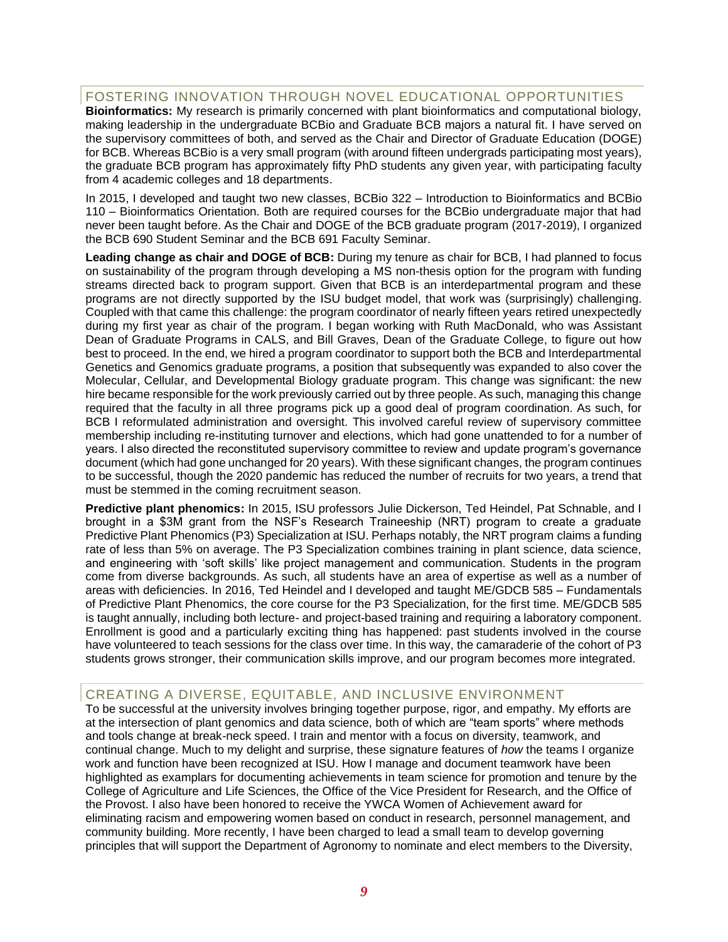## FOSTERING INNOVATION THROUGH NOVEL EDUCATIONAL OPPORTUNITIES

**Bioinformatics:** My research is primarily concerned with plant bioinformatics and computational biology, making leadership in the undergraduate BCBio and Graduate BCB majors a natural fit. I have served on the supervisory committees of both, and served as the Chair and Director of Graduate Education (DOGE) for BCB. Whereas BCBio is a very small program (with around fifteen undergrads participating most years), the graduate BCB program has approximately fifty PhD students any given year, with participating faculty from 4 academic colleges and 18 departments.

In 2015, I developed and taught two new classes, BCBio 322 – Introduction to Bioinformatics and BCBio 110 – Bioinformatics Orientation. Both are required courses for the BCBio undergraduate major that had never been taught before. As the Chair and DOGE of the BCB graduate program (2017-2019), I organized the BCB 690 Student Seminar and the BCB 691 Faculty Seminar.

**Leading change as chair and DOGE of BCB:** During my tenure as chair for BCB, I had planned to focus on sustainability of the program through developing a MS non-thesis option for the program with funding streams directed back to program support. Given that BCB is an interdepartmental program and these programs are not directly supported by the ISU budget model, that work was (surprisingly) challenging. Coupled with that came this challenge: the program coordinator of nearly fifteen years retired unexpectedly during my first year as chair of the program. I began working with Ruth MacDonald, who was Assistant Dean of Graduate Programs in CALS, and Bill Graves, Dean of the Graduate College, to figure out how best to proceed. In the end, we hired a program coordinator to support both the BCB and Interdepartmental Genetics and Genomics graduate programs, a position that subsequently was expanded to also cover the Molecular, Cellular, and Developmental Biology graduate program. This change was significant: the new hire became responsible for the work previously carried out by three people. As such, managing this change required that the faculty in all three programs pick up a good deal of program coordination. As such, for BCB I reformulated administration and oversight. This involved careful review of supervisory committee membership including re-instituting turnover and elections, which had gone unattended to for a number of years. I also directed the reconstituted supervisory committee to review and update program's governance document (which had gone unchanged for 20 years). With these significant changes, the program continues to be successful, though the 2020 pandemic has reduced the number of recruits for two years, a trend that must be stemmed in the coming recruitment season.

**Predictive plant phenomics:** In 2015, ISU professors Julie Dickerson, Ted Heindel, Pat Schnable, and I brought in a \$3M grant from the NSF's Research Traineeship (NRT) program to create a graduate Predictive Plant Phenomics (P3) Specialization at ISU. Perhaps notably, the NRT program claims a funding rate of less than 5% on average. The P3 Specialization combines training in plant science, data science, and engineering with 'soft skills' like project management and communication. Students in the program come from diverse backgrounds. As such, all students have an area of expertise as well as a number of areas with deficiencies. In 2016, Ted Heindel and I developed and taught ME/GDCB 585 – Fundamentals of Predictive Plant Phenomics, the core course for the P3 Specialization, for the first time. ME/GDCB 585 is taught annually, including both lecture- and project-based training and requiring a laboratory component. Enrollment is good and a particularly exciting thing has happened: past students involved in the course have volunteered to teach sessions for the class over time. In this way, the camaraderie of the cohort of P3 students grows stronger, their communication skills improve, and our program becomes more integrated.

#### CREATING A DIVERSE, EQUITABLE, AND INCLUSIVE ENVIRONMENT

To be successful at the university involves bringing together purpose, rigor, and empathy. My efforts are at the intersection of plant genomics and data science, both of which are "team sports" where methods and tools change at break-neck speed. I train and mentor with a focus on diversity, teamwork, and continual change. Much to my delight and surprise, these signature features of *how* the teams I organize work and function have been recognized at ISU. How I manage and document teamwork have been highlighted as examplars for documenting achievements in team science for promotion and tenure by the College of Agriculture and Life Sciences, the Office of the Vice President for Research, and the Office of the Provost. I also have been honored to receive the YWCA Women of Achievement award for eliminating racism and empowering women based on conduct in research, personnel management, and community building. More recently, I have been charged to lead a small team to develop governing principles that will support the Department of Agronomy to nominate and elect members to the Diversity,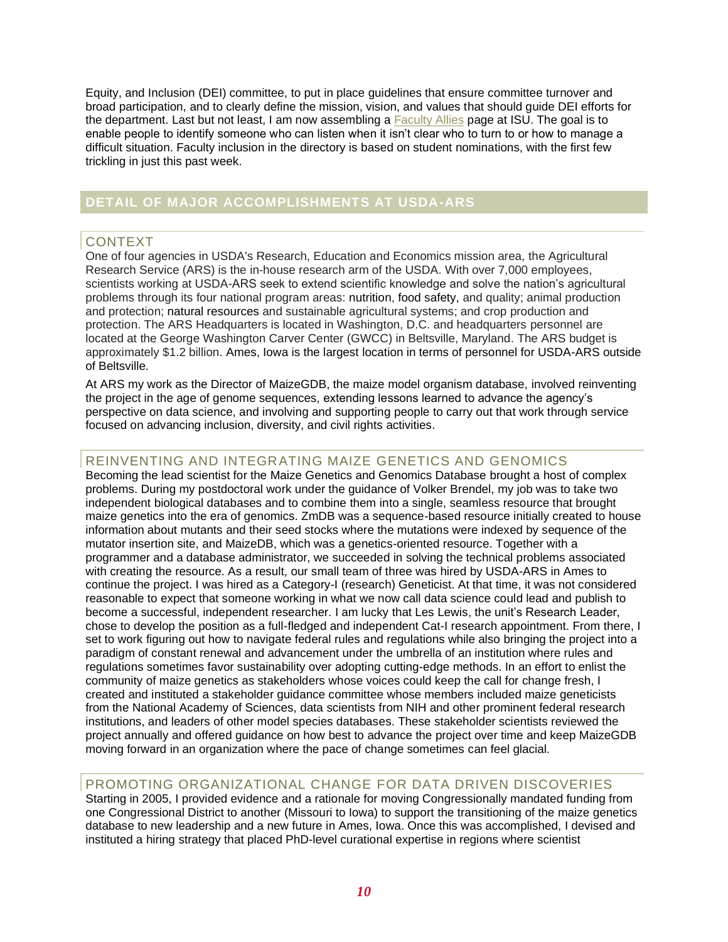Equity, and Inclusion (DEI) committee, to put in place guidelines that ensure committee turnover and broad participation, and to clearly define the mission, vision, and values that should guide DEI efforts for the department. Last but not least, I am now assembling a [Faculty Allies](https://facultyallies.iastate.edu/) page at ISU. The goal is to enable people to identify someone who can listen when it isn't clear who to turn to or how to manage a difficult situation. Faculty inclusion in the directory is based on student nominations, with the first few trickling in just this past week.

## **DETAIL OF MAJOR ACCOMPLISHMENTS AT USDA-ARS**

#### CONTEXT

One of four agencies in USDA's Research, Education and Economics mission area, the Agricultural Research Service (ARS) is the in-house research arm of the USDA. With over 7,000 employees, scientists working at USDA-ARS seek to extend scientific knowledge and solve the nation's agricultural problems through its four national program areas: nutrition, food safety, and quality; animal production and protection; natural resources and sustainable agricultural systems; and crop production and protection. The ARS Headquarters is located in Washington, D.C. and headquarters personnel are located at the George Washington Carver Center (GWCC) in Beltsville, Maryland. The ARS budget is approximately \$1.2 billion. Ames, Iowa is the largest location in terms of personnel for USDA-ARS outside of Beltsville.

At ARS my work as the Director of MaizeGDB, the maize model organism database, involved reinventing the project in the age of genome sequences, extending lessons learned to advance the agency's perspective on data science, and involving and supporting people to carry out that work through service focused on advancing inclusion, diversity, and civil rights activities.

## REINVENTING AND INTEGRATING MAIZE GENETICS AND GENOMICS

Becoming the lead scientist for the Maize Genetics and Genomics Database brought a host of complex problems. During my postdoctoral work under the guidance of Volker Brendel, my job was to take two independent biological databases and to combine them into a single, seamless resource that brought maize genetics into the era of genomics. ZmDB was a sequence-based resource initially created to house information about mutants and their seed stocks where the mutations were indexed by sequence of the mutator insertion site, and MaizeDB, which was a genetics-oriented resource. Together with a programmer and a database administrator, we succeeded in solving the technical problems associated with creating the resource. As a result, our small team of three was hired by USDA-ARS in Ames to continue the project. I was hired as a Category-I (research) Geneticist. At that time, it was not considered reasonable to expect that someone working in what we now call data science could lead and publish to become a successful, independent researcher. I am lucky that Les Lewis, the unit's Research Leader, chose to develop the position as a full-fledged and independent Cat-I research appointment. From there, I set to work figuring out how to navigate federal rules and regulations while also bringing the project into a paradigm of constant renewal and advancement under the umbrella of an institution where rules and regulations sometimes favor sustainability over adopting cutting-edge methods. In an effort to enlist the community of maize genetics as stakeholders whose voices could keep the call for change fresh, I created and instituted a stakeholder guidance committee whose members included maize geneticists from the National Academy of Sciences, data scientists from NIH and other prominent federal research institutions, and leaders of other model species databases. These stakeholder scientists reviewed the project annually and offered guidance on how best to advance the project over time and keep MaizeGDB moving forward in an organization where the pace of change sometimes can feel glacial.

## PROMOTING ORGANIZATIONAL CHANGE FOR DATA DRIVEN DISCOVERIES

Starting in 2005, I provided evidence and a rationale for moving Congressionally mandated funding from one Congressional District to another (Missouri to Iowa) to support the transitioning of the maize genetics database to new leadership and a new future in Ames, Iowa. Once this was accomplished, I devised and instituted a hiring strategy that placed PhD-level curational expertise in regions where scientist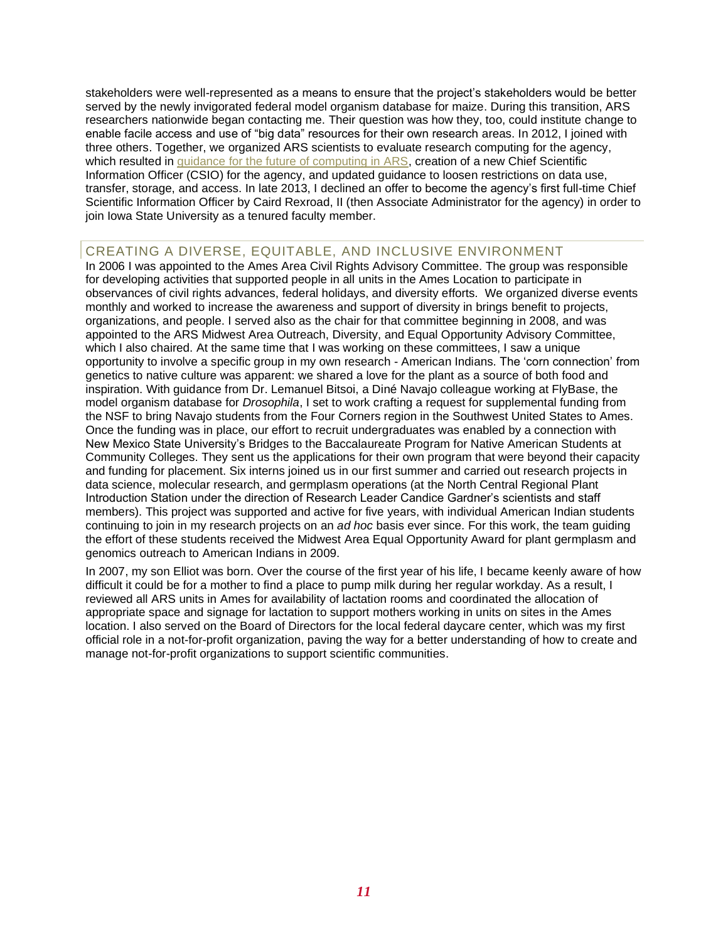stakeholders were well-represented as a means to ensure that the project's stakeholders would be better served by the newly invigorated federal model organism database for maize. During this transition, ARS researchers nationwide began contacting me. Their question was how they, too, could institute change to enable facile access and use of "big data" resources for their own research areas. In 2012, I joined with three others. Together, we organized ARS scientists to evaluate research computing for the agency, which resulted in [guidance for the future of computing in ARS,](https://www.ars.usda.gov/arsuserfiles/20800500/bigdatareport_mar-7-2013.pdf) creation of a new Chief Scientific Information Officer (CSIO) for the agency, and updated guidance to loosen restrictions on data use, transfer, storage, and access. In late 2013, I declined an offer to become the agency's first full-time Chief Scientific Information Officer by Caird Rexroad, II (then Associate Administrator for the agency) in order to join Iowa State University as a tenured faculty member.

## CREATING A DIVERSE, EQUITABLE, AND INCLUSIVE ENVIRONMENT

In 2006 I was appointed to the Ames Area Civil Rights Advisory Committee. The group was responsible for developing activities that supported people in all units in the Ames Location to participate in observances of civil rights advances, federal holidays, and diversity efforts. We organized diverse events monthly and worked to increase the awareness and support of diversity in brings benefit to projects, organizations, and people. I served also as the chair for that committee beginning in 2008, and was appointed to the ARS Midwest Area Outreach, Diversity, and Equal Opportunity Advisory Committee, which I also chaired. At the same time that I was working on these committees, I saw a unique opportunity to involve a specific group in my own research - American Indians. The 'corn connection' from genetics to native culture was apparent: we shared a love for the plant as a source of both food and inspiration. With guidance from Dr. Lemanuel Bitsoi, a Diné Navajo colleague working at FlyBase, the model organism database for *Drosophila*, I set to work crafting a request for supplemental funding from the NSF to bring Navajo students from the Four Corners region in the Southwest United States to Ames. Once the funding was in place, our effort to recruit undergraduates was enabled by a connection with New Mexico State University's Bridges to the Baccalaureate Program for Native American Students at Community Colleges. They sent us the applications for their own program that were beyond their capacity and funding for placement. Six interns joined us in our first summer and carried out research projects in data science, molecular research, and germplasm operations (at the North Central Regional Plant Introduction Station under the direction of Research Leader Candice Gardner's scientists and staff members). This project was supported and active for five years, with individual American Indian students continuing to join in my research projects on an *ad hoc* basis ever since. For this work, the team guiding the effort of these students received the Midwest Area Equal Opportunity Award for plant germplasm and genomics outreach to American Indians in 2009.

In 2007, my son Elliot was born. Over the course of the first year of his life, I became keenly aware of how difficult it could be for a mother to find a place to pump milk during her regular workday. As a result, I reviewed all ARS units in Ames for availability of lactation rooms and coordinated the allocation of appropriate space and signage for lactation to support mothers working in units on sites in the Ames location. I also served on the Board of Directors for the local federal daycare center, which was my first official role in a not-for-profit organization, paving the way for a better understanding of how to create and manage not-for-profit organizations to support scientific communities.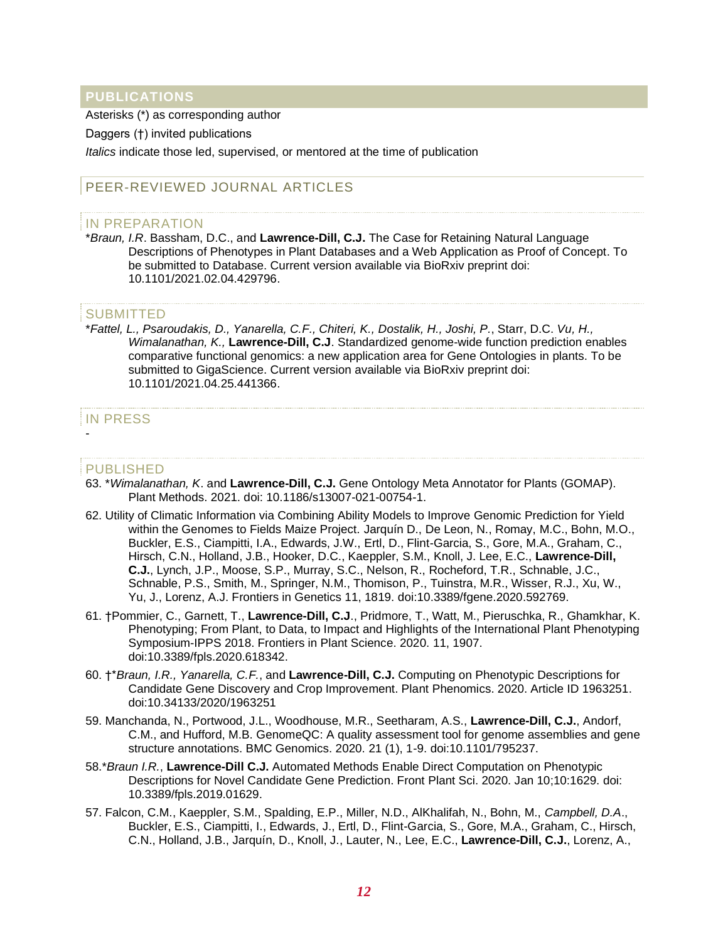## **PUBLICATIONS**

Asterisks (\*) as corresponding author

Daggers (†) invited publications

*Italics* indicate those led, supervised, or mentored at the time of publication

## PEER-REVIEWED JOURNAL ARTICLES

#### IN PREPARATION

\**Braun, I.R*. Bassham, D.C., and **Lawrence-Dill, C.J.** The Case for Retaining Natural Language Descriptions of Phenotypes in Plant Databases and a Web Application as Proof of Concept. To be submitted to Database. Current version available via BioRxiv preprint doi: 10.1101/2021.02.04.429796.

#### **SUBMITTED**

\**Fattel, L., Psaroudakis, D., Yanarella, C.F., Chiteri, K., Dostalik, H., Joshi, P.*, Starr, D.C. *Vu, H., Wimalanathan, K.,* **Lawrence-Dill, C.J**. Standardized genome-wide function prediction enables comparative functional genomics: a new application area for Gene Ontologies in plants. To be submitted to GigaScience. Current version available via BioRxiv preprint doi: 10.1101/2021.04.25.441366.

#### IN PRESS -

#### PUBLISHED

- 63. \**Wimalanathan, K*. and **Lawrence-Dill, C.J.** Gene Ontology Meta Annotator for Plants (GOMAP). Plant Methods. 2021. doi: 10.1186/s13007-021-00754-1.
- 62. Utility of Climatic Information via Combining Ability Models to Improve Genomic Prediction for Yield within the Genomes to Fields Maize Project. Jarquín D., De Leon, N., Romay, M.C., Bohn, M.O., Buckler, E.S., Ciampitti, I.A., Edwards, J.W., Ertl, D., Flint-Garcia, S., Gore, M.A., Graham, C., Hirsch, C.N., Holland, J.B., Hooker, D.C., Kaeppler, S.M., Knoll, J. Lee, E.C., **Lawrence-Dill, C.J.**, Lynch, J.P., Moose, S.P., Murray, S.C., Nelson, R., Rocheford, T.R., Schnable, J.C., Schnable, P.S., Smith, M., Springer, N.M., Thomison, P., Tuinstra, M.R., Wisser, R.J., Xu, W., Yu, J., Lorenz, A.J. Frontiers in Genetics 11, 1819. doi:10.3389/fgene.2020.592769.
- 61. †Pommier, C., Garnett, T., **Lawrence-Dill, C.J**., Pridmore, T., Watt, M., Pieruschka, R., Ghamkhar, K. Phenotyping; From Plant, to Data, to Impact and Highlights of the International Plant Phenotyping Symposium-IPPS 2018. Frontiers in Plant Science. 2020. 11, 1907. doi:10.3389/fpls.2020.618342.
- 60. †\**Braun, I.R., Yanarella, C.F.*, and **Lawrence-Dill, C.J.** Computing on Phenotypic Descriptions for Candidate Gene Discovery and Crop Improvement. Plant Phenomics. 2020. Article ID 1963251. doi:10.34133/2020/1963251
- 59. Manchanda, N., Portwood, J.L., Woodhouse, M.R., Seetharam, A.S., **Lawrence-Dill, C.J.**, Andorf, C.M., and Hufford, M.B. GenomeQC: A quality assessment tool for genome assemblies and gene structure annotations. BMC Genomics. 2020. 21 (1), 1-9. doi:10.1101/795237.
- 58.\**Braun I.R.*, **Lawrence-Dill C.J.** Automated Methods Enable Direct Computation on Phenotypic Descriptions for Novel Candidate Gene Prediction. Front Plant Sci. 2020. Jan 10;10:1629. doi: 10.3389/fpls.2019.01629.
- 57. Falcon, C.M., Kaeppler, S.M., Spalding, E.P., Miller, N.D., AlKhalifah, N., Bohn, M., *Campbell, D.A*., Buckler, E.S., Ciampitti, I., Edwards, J., Ertl, D., Flint-Garcia, S., Gore, M.A., Graham, C., Hirsch, C.N., Holland, J.B., Jarquín, D., Knoll, J., Lauter, N., Lee, E.C., **Lawrence-Dill, C.J.**, Lorenz, A.,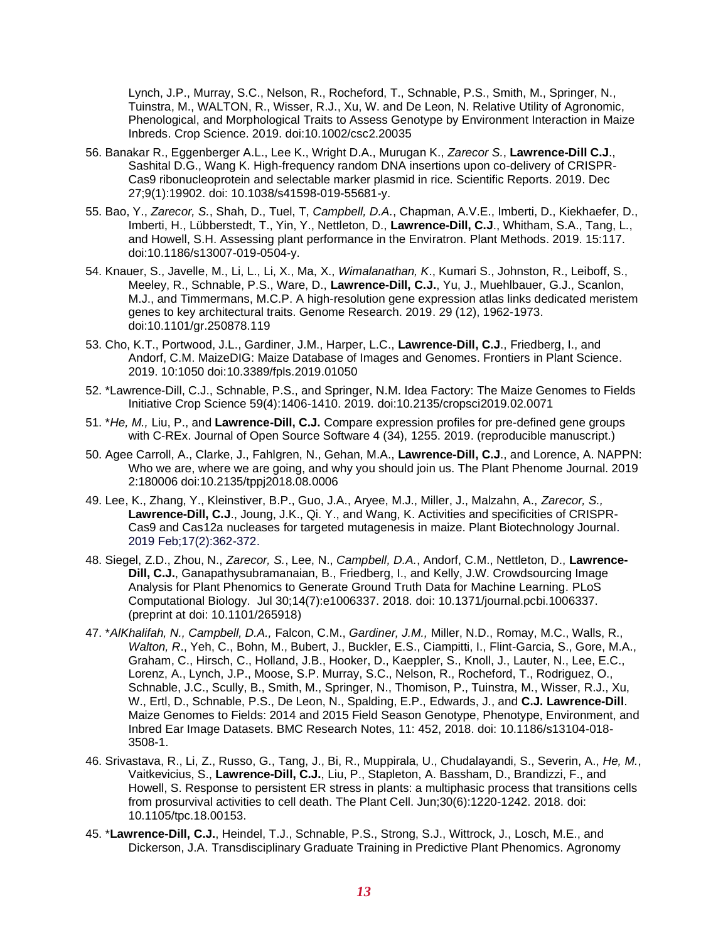Lynch, J.P., Murray, S.C., Nelson, R., Rocheford, T., Schnable, P.S., Smith, M., Springer, N., Tuinstra, M., WALTON, R., Wisser, R.J., Xu, W. and De Leon, N. Relative Utility of Agronomic, Phenological, and Morphological Traits to Assess Genotype by Environment Interaction in Maize Inbreds. Crop Science. 2019. doi:10.1002/csc2.20035

- 56. Banakar R., Eggenberger A.L., Lee K., Wright D.A., Murugan K., *Zarecor S.*, **Lawrence-Dill C.J**., Sashital D.G., Wang K. High-frequency random DNA insertions upon co-delivery of CRISPR-Cas9 ribonucleoprotein and selectable marker plasmid in rice. Scientific Reports. 2019. Dec 27;9(1):19902. doi: 10.1038/s41598-019-55681-y.
- 55. Bao, Y., *Zarecor, S.*, Shah, D., Tuel, T, *Campbell, D.A.*, Chapman, A.V.E., Imberti, D., Kiekhaefer, D., Imberti, H., Lübberstedt, T., Yin, Y., Nettleton, D., **Lawrence-Dill, C.J**., Whitham, S.A., Tang, L., and Howell, S.H. Assessing plant performance in the Enviratron. Plant Methods. 2019. 15:117. doi:10.1186/s13007-019-0504-y.
- 54. Knauer, S., Javelle, M., Li, L., Li, X., Ma, X., *Wimalanathan, K*., Kumari S., Johnston, R., Leiboff, S., Meeley, R., Schnable, P.S., Ware, D., **Lawrence-Dill, C.J.**, Yu, J., Muehlbauer, G.J., Scanlon, M.J., and Timmermans, M.C.P. A high-resolution gene expression atlas links dedicated meristem genes to key architectural traits. Genome Research. 2019. 29 (12), 1962-1973. doi:10.1101/gr.250878.119
- 53. Cho, K.T., Portwood, J.L., Gardiner, J.M., Harper, L.C., **Lawrence-Dill, C.J**., Friedberg, I., and Andorf, C.M. MaizeDIG: Maize Database of Images and Genomes. Frontiers in Plant Science. 2019. 10:1050 doi:10.3389/fpls.2019.01050
- 52. \*Lawrence-Dill, C.J., Schnable, P.S., and Springer, N.M. Idea Factory: The Maize Genomes to Fields Initiative Crop Science 59(4):1406-1410. 2019. doi:10.2135/cropsci2019.02.0071
- 51. \**He, M.,* Liu, P., and **Lawrence-Dill, C.J.** Compare expression profiles for pre-defined gene groups with C-REx. Journal of Open Source Software 4 (34), 1255. 2019. (reproducible manuscript.)
- 50. Agee Carroll, A., Clarke, J., Fahlgren, N., Gehan, M.A., **Lawrence-Dill, C.J**., and Lorence, A. NAPPN: Who we are, where we are going, and why you should join us. The Plant Phenome Journal. 2019 2:180006 doi:10.2135/tppj2018.08.0006
- 49. Lee, K., Zhang, Y., Kleinstiver, B.P., Guo, J.A., Aryee, M.J., Miller, J., Malzahn, A., *Zarecor, S.,* **Lawrence-Dill, C.J**., Joung, J.K., Qi. Y., and Wang, K. Activities and specificities of CRISPR-Cas9 and Cas12a nucleases for targeted mutagenesis in maize. Plant Biotechnology Journal. 2019 Feb;17(2):362-372.
- 48. Siegel, Z.D., Zhou, N., *Zarecor, S.*, Lee, N., *Campbell, D.A.*, Andorf, C.M., Nettleton, D., **Lawrence-Dill, C.J.**, Ganapathysubramanaian, B., Friedberg, I., and Kelly, J.W. Crowdsourcing Image Analysis for Plant Phenomics to Generate Ground Truth Data for Machine Learning. PLoS Computational Biology. Jul 30;14(7):e1006337. 2018. doi: 10.1371/journal.pcbi.1006337. (preprint at doi: 10.1101/265918)
- 47. \**AlKhalifah, N., Campbell, D.A.,* Falcon, C.M., *Gardiner, J.M.,* Miller, N.D., Romay, M.C., Walls, R., *Walton, R*., Yeh, C., Bohn, M., Bubert, J., Buckler, E.S., Ciampitti, I., Flint-Garcia, S., Gore, M.A., Graham, C., Hirsch, C., Holland, J.B., Hooker, D., Kaeppler, S., Knoll, J., Lauter, N., Lee, E.C., Lorenz, A., Lynch, J.P., Moose, S.P. Murray, S.C., Nelson, R., Rocheford, T., Rodriguez, O., Schnable, J.C., Scully, B., Smith, M., Springer, N., Thomison, P., Tuinstra, M., Wisser, R.J., Xu, W., Ertl, D., Schnable, P.S., De Leon, N., Spalding, E.P., Edwards, J., and **C.J. Lawrence-Dill**. Maize Genomes to Fields: 2014 and 2015 Field Season Genotype, Phenotype, Environment, and Inbred Ear Image Datasets. BMC Research Notes, 11: 452, 2018. doi: 10.1186/s13104-018- 3508-1.
- 46. Srivastava, R., Li, Z., Russo, G., Tang, J., Bi, R., Muppirala, U., Chudalayandi, S., Severin, A., *He, M.*, Vaitkevicius, S., **Lawrence-Dill, C.J.**, Liu, P., Stapleton, A. Bassham, D., Brandizzi, F., and Howell, S. Response to persistent ER stress in plants: a multiphasic process that transitions cells from prosurvival activities to cell death. The Plant Cell. Jun;30(6):1220-1242. 2018. doi: 10.1105/tpc.18.00153.
- 45. \***Lawrence-Dill, C.J.**, Heindel, T.J., Schnable, P.S., Strong, S.J., Wittrock, J., Losch, M.E., and Dickerson, J.A. Transdisciplinary Graduate Training in Predictive Plant Phenomics. Agronomy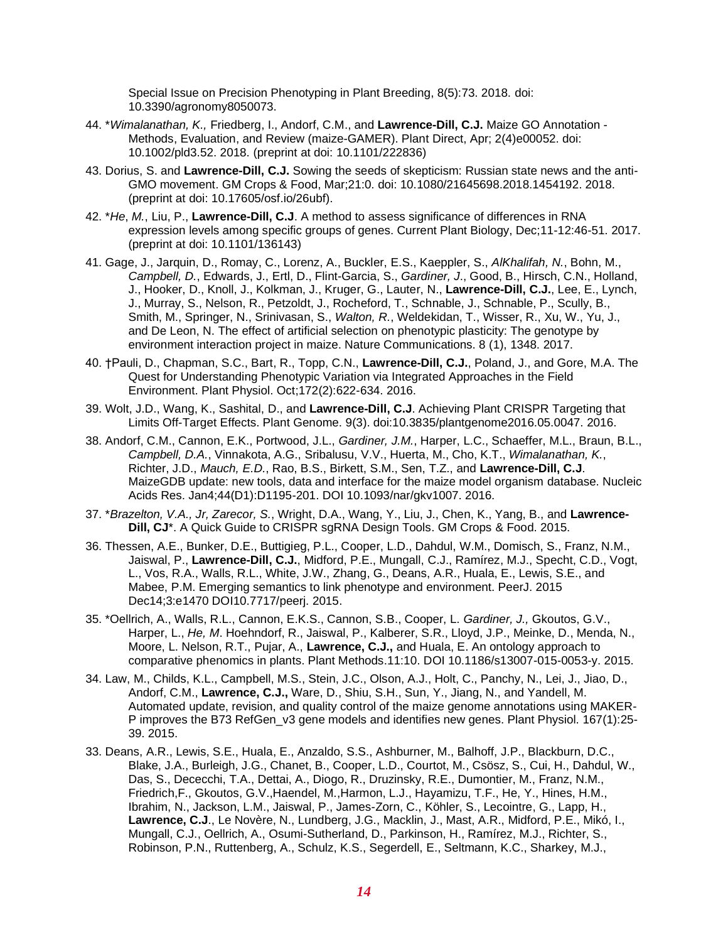Special Issue on Precision Phenotyping in Plant Breeding, 8(5):73. 2018. doi: 10.3390/agronomy8050073.

- 44. \**Wimalanathan, K.,* Friedberg, I., Andorf, C.M., and **Lawrence-Dill, C.J.** Maize GO Annotation Methods, Evaluation, and Review (maize-GAMER). Plant Direct, Apr; 2(4)e00052. doi: 10.1002/pld3.52. 2018. (preprint at doi: 10.1101/222836)
- 43. Dorius, S. and **Lawrence-Dill, C.J.** Sowing the seeds of skepticism: Russian state news and the anti-GMO movement. GM Crops & Food, Mar;21:0. doi: 10.1080/21645698.2018.1454192. 2018. (preprint at doi: 10.17605/osf.io/26ubf).
- 42. \**He*, *M.*, Liu, P., **Lawrence-Dill, C.J**. A method to assess significance of differences in RNA expression levels among specific groups of genes. Current Plant Biology, Dec;11-12:46-51. 2017. (preprint at doi: 10.1101/136143)
- 41. Gage, J., Jarquin, D., Romay, C., Lorenz, A., Buckler, E.S., Kaeppler, S., *AlKhalifah, N.*, Bohn, M., *Campbell, D.*, Edwards, J., Ertl, D., Flint-Garcia, S., *Gardiner, J*., Good, B., Hirsch, C.N., Holland, J., Hooker, D., Knoll, J., Kolkman, J., Kruger, G., Lauter, N., **Lawrence-Dill, C.J.**, Lee, E., Lynch, J., Murray, S., Nelson, R., Petzoldt, J., Rocheford, T., Schnable, J., Schnable, P., Scully, B., Smith, M., Springer, N., Srinivasan, S., *Walton, R.*, Weldekidan, T., Wisser, R., Xu, W., Yu, J., and De Leon, N. The effect of artificial selection on phenotypic plasticity: The genotype by environment interaction project in maize. Nature Communications. 8 (1), 1348. 2017.
- 40. †Pauli, D., Chapman, S.C., Bart, R., Topp, C.N., **Lawrence-Dill, C.J.**, Poland, J., and Gore, M.A. The Quest for Understanding Phenotypic Variation via Integrated Approaches in the Field Environment. Plant Physiol. Oct;172(2):622-634. 2016.
- 39. Wolt, J.D., Wang, K., Sashital, D., and **Lawrence-Dill, C.J**. Achieving Plant CRISPR Targeting that Limits Off-Target Effects. Plant Genome. 9(3). doi:10.3835/plantgenome2016.05.0047. 2016.
- 38. Andorf, C.M., Cannon, E.K., Portwood, J.L., *Gardiner, J.M.*, Harper, L.C., Schaeffer, M.L., Braun, B.L., *Campbell, D.A.*, Vinnakota, A.G., Sribalusu, V.V., Huerta, M., Cho, K.T., *Wimalanathan, K.*, Richter, J.D., *Mauch, E.D.*, Rao, B.S., Birkett, S.M., Sen, T.Z., and **Lawrence-Dill, C.J**. MaizeGDB update: new tools, data and interface for the maize model organism database. Nucleic Acids Res. Jan4;44(D1):D1195-201. DOI 10.1093/nar/gkv1007. 2016.
- 37. \**Brazelton, V.A., Jr, Zarecor, S.*, Wright, D.A., Wang, Y., Liu, J., Chen, K., Yang, B., and **Lawrence-Dill, CJ**\*. A Quick Guide to CRISPR sgRNA Design Tools. GM Crops & Food. 2015.
- 36. Thessen, A.E., Bunker, D.E., Buttigieg, P.L., Cooper, L.D., Dahdul, W.M., Domisch, S., Franz, N.M., Jaiswal, P., **Lawrence-Dill, C.J.**, Midford, P.E., Mungall, C.J., Ramírez, M.J., Specht, C.D., Vogt, L., Vos, R.A., Walls, R.L., White, J.W., Zhang, G., Deans, A.R., Huala, E., Lewis, S.E., and Mabee, P.M. Emerging semantics to link phenotype and environment. PeerJ. 2015 Dec14;3:e1470 DOI10.7717/peerj. 2015.
- 35. \*Oellrich, A., Walls, R.L., Cannon, E.K.S., Cannon, S.B., Cooper, L. *Gardiner, J.,* Gkoutos, G.V., Harper, L., *He, M*. Hoehndorf, R., Jaiswal, P., Kalberer, S.R., Lloyd, J.P., Meinke, D., Menda, N., Moore, L. Nelson, R.T., Pujar, A., **Lawrence, C.J.,** and Huala, E. An ontology approach to comparative phenomics in plants. Plant Methods.11:10. DOI 10.1186/s13007-015-0053-y. 2015.
- 34. Law, M., Childs, K.L., Campbell, M.S., Stein, J.C., Olson, A.J., Holt, C., Panchy, N., Lei, J., Jiao, D., Andorf, C.M., **Lawrence, C.J.,** Ware, D., Shiu, S.H., Sun, Y., Jiang, N., and Yandell, M. Automated update, revision, and quality control of the maize genome annotations using MAKER-P improves the B73 RefGen\_v3 gene models and identifies new genes. Plant Physiol. 167(1):25- 39. 2015.
- 33. Deans, A.R., Lewis, S.E., Huala, E., Anzaldo, S.S., Ashburner, M., Balhoff, J.P., Blackburn, D.C., Blake, J.A., Burleigh, J.G., Chanet, B., Cooper, L.D., Courtot, M., Csösz, S., Cui, H., Dahdul, W., Das, S., Dececchi, T.A., Dettai, A., Diogo, R., Druzinsky, R.E., Dumontier, M., Franz, N.M., Friedrich,F., Gkoutos, G.V.,Haendel, M.,Harmon, L.J., Hayamizu, T.F., He, Y., Hines, H.M., Ibrahim, N., Jackson, L.M., Jaiswal, P., James-Zorn, C., Köhler, S., Lecointre, G., Lapp, H., **Lawrence, C.J**., Le Novère, N., Lundberg, J.G., Macklin, J., Mast, A.R., Midford, P.E., Mikó, I., Mungall, C.J., Oellrich, A., Osumi-Sutherland, D., Parkinson, H., Ramírez, M.J., Richter, S., Robinson, P.N., Ruttenberg, A., Schulz, K.S., Segerdell, E., Seltmann, K.C., Sharkey, M.J.,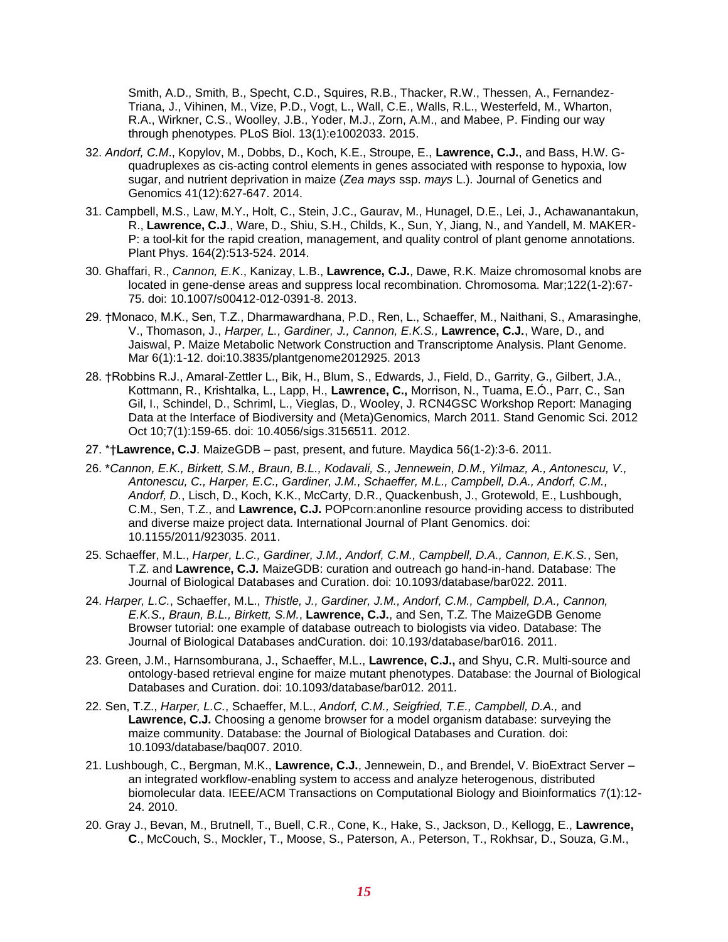Smith, A.D., Smith, B., Specht, C.D., Squires, R.B., Thacker, R.W., Thessen, A., Fernandez-Triana, J., Vihinen, M., Vize, P.D., Vogt, L., Wall, C.E., Walls, R.L., Westerfeld, M., Wharton, R.A., Wirkner, C.S., Woolley, J.B., Yoder, M.J., Zorn, A.M., and Mabee, P. Finding our way through phenotypes. PLoS Biol. 13(1):e1002033. 2015.

- 32. *Andorf, C.M*., Kopylov, M., Dobbs, D., Koch, K.E., Stroupe, E., **Lawrence, C.J.**, and Bass, H.W. Gquadruplexes as cis-acting control elements in genes associated with response to hypoxia, low sugar, and nutrient deprivation in maize (*Zea mays* ssp. *mays* L.). Journal of Genetics and Genomics 41(12):627-647. 2014.
- 31. Campbell, M.S., Law, M.Y., Holt, C., Stein, J.C., Gaurav, M., Hunagel, D.E., Lei, J., Achawanantakun, R., **Lawrence, C.J**., Ware, D., Shiu, S.H., Childs, K., Sun, Y, Jiang, N., and Yandell, M. MAKER-P: a tool-kit for the rapid creation, management, and quality control of plant genome annotations. Plant Phys. 164(2):513-524. 2014.
- 30. Ghaffari, R., *Cannon, E.K*., Kanizay, L.B., **Lawrence, C.J.**, Dawe, R.K. Maize chromosomal knobs are located in gene-dense areas and suppress local recombination. Chromosoma. Mar;122(1-2):67- 75. doi: 10.1007/s00412-012-0391-8. 2013.
- 29. †Monaco, M.K., Sen, T.Z., Dharmawardhana, P.D., Ren, L., Schaeffer, M., Naithani, S., Amarasinghe, V., Thomason, J., *Harper, L., Gardiner, J., Cannon, E.K.S.,* **Lawrence, C.J.**, Ware, D., and Jaiswal, P. Maize Metabolic Network Construction and Transcriptome Analysis. Plant Genome. Mar 6(1):1-12. doi:10.3835/plantgenome2012925. 2013
- 28. †Robbins R.J., Amaral-Zettler L., Bik, H., Blum, S., Edwards, J., Field, D., Garrity, G., Gilbert, J.A., Kottmann, R., Krishtalka, L., Lapp, H., **Lawrence, C.,** Morrison, N., Tuama, E.Ó., Parr, C., San Gil, I., Schindel, D., Schriml, L., Vieglas, D., Wooley, J. RCN4GSC Workshop Report: Managing Data at the Interface of Biodiversity and (Meta)Genomics, March 2011. Stand Genomic Sci. 2012 Oct 10;7(1):159-65. doi: 10.4056/sigs.3156511. 2012.
- 27. \*†**Lawrence, C.J**. MaizeGDB past, present, and future. Maydica 56(1-2):3-6. 2011.
- 26. \**Cannon, E.K., Birkett, S.M., Braun, B.L., Kodavali, S., Jennewein, D.M., Yilmaz, A., Antonescu, V., Antonescu, C., Harper, E.C., Gardiner, J.M., Schaeffer, M.L., Campbell, D.A., Andorf, C.M., Andorf, D.*, Lisch, D., Koch, K.K., McCarty, D.R., Quackenbush, J., Grotewold, E., Lushbough, C.M., Sen, T.Z., and **Lawrence, C.J.** POPcorn:anonline resource providing access to distributed and diverse maize project data. International Journal of Plant Genomics. doi: 10.1155/2011/923035. 2011.
- 25. Schaeffer, M.L., *Harper, L.C., Gardiner, J.M., Andorf, C.M., Campbell, D.A., Cannon, E.K.S.*, Sen, T.Z. and **Lawrence, C.J.** MaizeGDB: curation and outreach go hand-in-hand. Database: The Journal of Biological Databases and Curation. doi: 10.1093/database/bar022. 2011.
- 24. *Harper, L.C.*, Schaeffer, M.L., *Thistle, J., Gardiner, J.M., Andorf, C.M., Campbell, D.A., Cannon, E.K.S., Braun, B.L., Birkett, S.M.*, **Lawrence, C.J.**, and Sen, T.Z. The MaizeGDB Genome Browser tutorial: one example of database outreach to biologists via video. Database: The Journal of Biological Databases andCuration. doi: 10.193/database/bar016. 2011.
- 23. Green, J.M., Harnsomburana, J., Schaeffer, M.L., **Lawrence, C.J.,** and Shyu, C.R. Multi-source and ontology-based retrieval engine for maize mutant phenotypes. Database: the Journal of Biological Databases and Curation. doi: 10.1093/database/bar012. 2011.
- 22. Sen, T.Z., *Harper, L.C.*, Schaeffer, M.L., *Andorf, C.M., Seigfried, T.E., Campbell, D.A.,* and **Lawrence, C.J.** Choosing a genome browser for a model organism database: surveying the maize community. Database: the Journal of Biological Databases and Curation. doi: 10.1093/database/baq007. 2010.
- 21. Lushbough, C., Bergman, M.K., **Lawrence, C.J.**, Jennewein, D., and Brendel, V. BioExtract Server an integrated workflow-enabling system to access and analyze heterogenous, distributed biomolecular data. IEEE/ACM Transactions on Computational Biology and Bioinformatics 7(1):12- 24. 2010.
- 20. Gray J., Bevan, M., Brutnell, T., Buell, C.R., Cone, K., Hake, S., Jackson, D., Kellogg, E., **Lawrence, C**., McCouch, S., Mockler, T., Moose, S., Paterson, A., Peterson, T., Rokhsar, D., Souza, G.M.,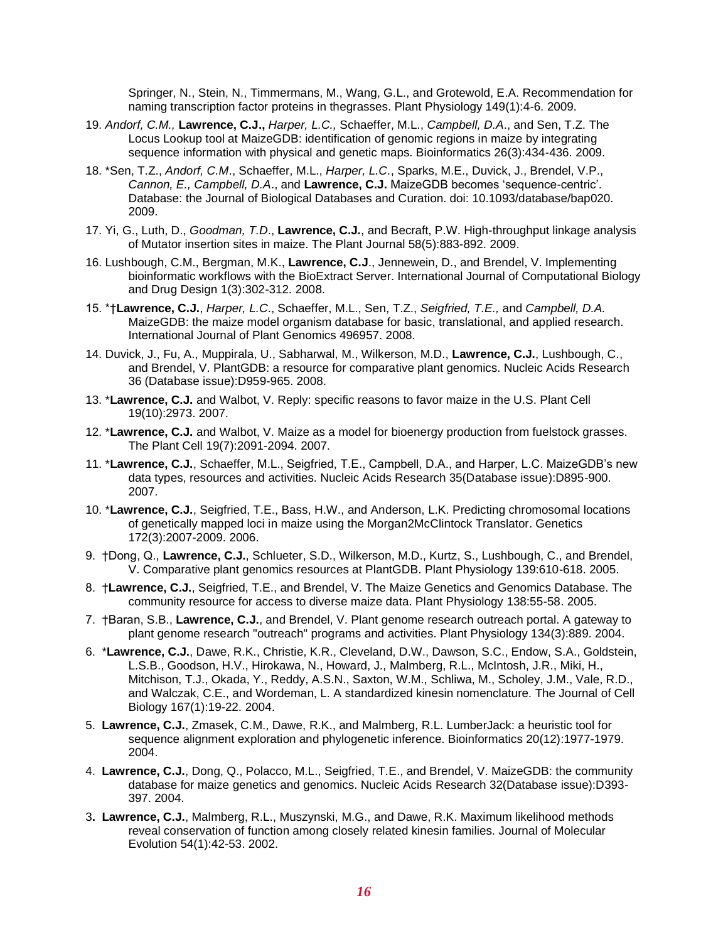Springer, N., Stein, N., Timmermans, M., Wang, G.L., and Grotewold, E.A. Recommendation for naming transcription factor proteins in thegrasses. Plant Physiology 149(1):4-6. 2009.

- 19. *Andorf, C.M.,* **Lawrence, C.J.,** *Harper, L.C.,* Schaeffer, M.L., *Campbell, D.A*., and Sen, T.Z. The Locus Lookup tool at MaizeGDB: identification of genomic regions in maize by integrating sequence information with physical and genetic maps. Bioinformatics 26(3):434-436. 2009.
- 18. \*Sen, T.Z., *Andorf, C.M*., Schaeffer, M.L., *Harper, L.C.*, Sparks, M.E., Duvick, J., Brendel, V.P., *Cannon, E., Campbell, D.A*., and **Lawrence, C.J.** MaizeGDB becomes 'sequence-centric'. Database: the Journal of Biological Databases and Curation. doi: 10.1093/database/bap020. 2009.
- 17. Yi, G., Luth, D., *Goodman, T.D*., **Lawrence, C.J.**, and Becraft, P.W. High-throughput linkage analysis of Mutator insertion sites in maize. The Plant Journal 58(5):883-892. 2009.
- 16. Lushbough, C.M., Bergman, M.K., **Lawrence, C.J**., Jennewein, D., and Brendel, V. Implementing bioinformatic workflows with the BioExtract Server. International Journal of Computational Biology and Drug Design 1(3):302-312. 2008.
- 15. \*†**Lawrence, C.J.**, *Harper, L.C*., Schaeffer, M.L., Sen, T.Z., *Seigfried, T.E.,* and *Campbell, D.A.* MaizeGDB: the maize model organism database for basic, translational, and applied research. International Journal of Plant Genomics 496957. 2008.
- 14. Duvick, J., Fu, A., Muppirala, U., Sabharwal, M., Wilkerson, M.D., **Lawrence, C.J.**, Lushbough, C., and Brendel, V. PlantGDB: a resource for comparative plant genomics. Nucleic Acids Research 36 (Database issue):D959-965. 2008.
- 13. \***Lawrence, C.J.** and Walbot, V. Reply: specific reasons to favor maize in the U.S. Plant Cell 19(10):2973. 2007.
- 12. \***Lawrence, C.J.** and Walbot, V. Maize as a model for bioenergy production from fuelstock grasses. The Plant Cell 19(7):2091-2094. 2007.
- 11. \***Lawrence, C.J.**, Schaeffer, M.L., Seigfried, T.E., Campbell, D.A., and Harper, L.C. MaizeGDB's new data types, resources and activities. Nucleic Acids Research 35(Database issue):D895-900. 2007.
- 10. \***Lawrence, C.J.**, Seigfried, T.E., Bass, H.W., and Anderson, L.K. Predicting chromosomal locations of genetically mapped loci in maize using the Morgan2McClintock Translator. Genetics 172(3):2007-2009. 2006.
- 9. †Dong, Q., **Lawrence, C.J.**, Schlueter, S.D., Wilkerson, M.D., Kurtz, S., Lushbough, C., and Brendel, V. Comparative plant genomics resources at PlantGDB. Plant Physiology 139:610-618. 2005.
- 8. †**Lawrence, C.J.**, Seigfried, T.E., and Brendel, V. The Maize Genetics and Genomics Database. The community resource for access to diverse maize data. Plant Physiology 138:55-58. 2005.
- 7. †Baran, S.B., **Lawrence, C.J.**, and Brendel, V. Plant genome research outreach portal. A gateway to plant genome research "outreach" programs and activities. Plant Physiology 134(3):889. 2004.
- 6. \***Lawrence, C.J.**, Dawe, R.K., Christie, K.R., Cleveland, D.W., Dawson, S.C., Endow, S.A., Goldstein, L.S.B., Goodson, H.V., Hirokawa, N., Howard, J., Malmberg, R.L., McIntosh, J.R., Miki, H., Mitchison, T.J., Okada, Y., Reddy, A.S.N., Saxton, W.M., Schliwa, M., Scholey, J.M., Vale, R.D., and Walczak, C.E., and Wordeman, L. A standardized kinesin nomenclature. The Journal of Cell Biology 167(1):19-22. 2004.
- 5. **Lawrence, C.J.**, Zmasek, C.M., Dawe, R.K., and Malmberg, R.L. LumberJack: a heuristic tool for sequence alignment exploration and phylogenetic inference. Bioinformatics 20(12):1977-1979. 2004.
- 4. **Lawrence, C.J.**, Dong, Q., Polacco, M.L., Seigfried, T.E., and Brendel, V. MaizeGDB: the community database for maize genetics and genomics. Nucleic Acids Research 32(Database issue):D393- 397. 2004.
- 3**. Lawrence, C.J.**, Malmberg, R.L., Muszynski, M.G., and Dawe, R.K. Maximum likelihood methods reveal conservation of function among closely related kinesin families. Journal of Molecular Evolution 54(1):42-53. 2002.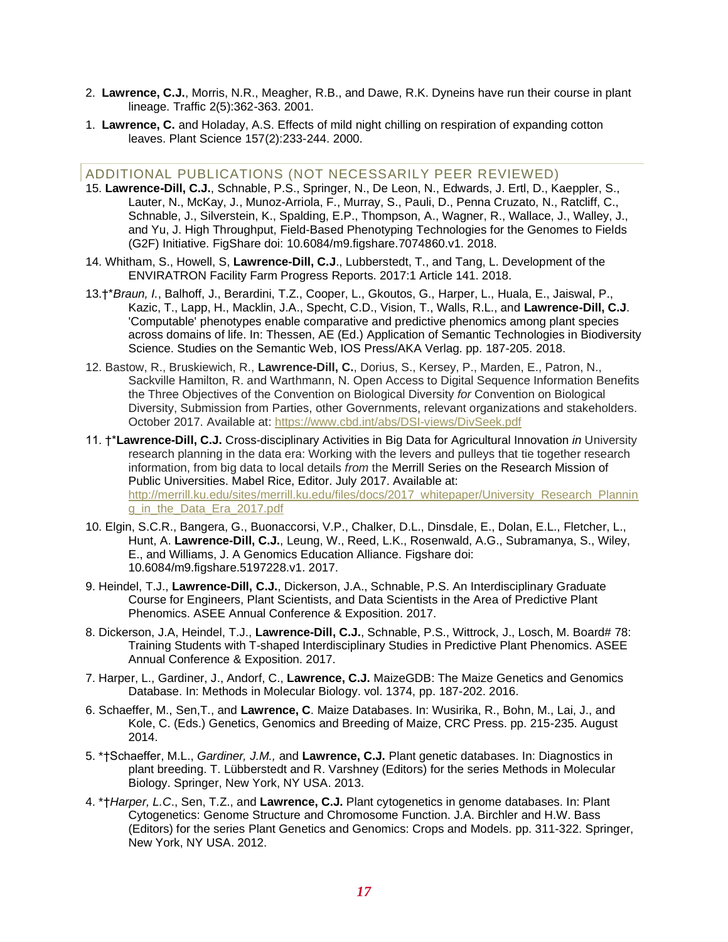- 2. **Lawrence, C.J.**, Morris, N.R., Meagher, R.B., and Dawe, R.K. Dyneins have run their course in plant lineage. Traffic 2(5):362-363. 2001.
- 1. **Lawrence, C.** and Holaday, A.S. Effects of mild night chilling on respiration of expanding cotton leaves. Plant Science 157(2):233-244. 2000.

#### ADDITIONAL PUBLICATIONS (NOT NECESSARILY PEER REVIEWED)

- 15. **Lawrence-Dill, C.J.**, Schnable, P.S., Springer, N., De Leon, N., Edwards, J. Ertl, D., Kaeppler, S., Lauter, N., McKay, J., Munoz-Arriola, F., Murray, S., Pauli, D., Penna Cruzato, N., Ratcliff, C., Schnable, J., Silverstein, K., Spalding, E.P., Thompson, A., Wagner, R., Wallace, J., Walley, J., and Yu, J. High Throughput, Field-Based Phenotyping Technologies for the Genomes to Fields (G2F) Initiative. FigShare doi: 10.6084/m9.figshare.7074860.v1. 2018.
- 14. Whitham, S., Howell, S, **Lawrence-Dill, C.J**., Lubberstedt, T., and Tang, L. Development of the ENVIRATRON Facility Farm Progress Reports. 2017:1 Article 141. 2018.
- 13.†\**Braun, I.*, Balhoff, J., Berardini, T.Z., Cooper, L., Gkoutos, G., Harper, L., Huala, E., Jaiswal, P., Kazic, T., Lapp, H., Macklin, J.A., Specht, C.D., Vision, T., Walls, R.L., and **Lawrence-Dill, C.J**. 'Computable' phenotypes enable comparative and predictive phenomics among plant species across domains of life. In: Thessen, AE (Ed.) Application of Semantic Technologies in Biodiversity Science. Studies on the Semantic Web, IOS Press/AKA Verlag. pp. 187-205. 2018.
- 12. Bastow, R., Bruskiewich, R., **Lawrence-Dill, C.**, Dorius, S., Kersey, P., Marden, E., Patron, N., Sackville Hamilton, R. and Warthmann, N. Open Access to Digital Sequence Information Benefits the Three Objectives of the Convention on Biological Diversity *for* Convention on Biological Diversity, Submission from Parties, other Governments, relevant organizations and stakeholders. October 2017. Available at:<https://www.cbd.int/abs/DSI-views/DivSeek.pdf>
- 11. †\***Lawrence-Dill, C.J.** Cross-disciplinary Activities in Big Data for Agricultural Innovation *in* University research planning in the data era: Working with the levers and pulleys that tie together research information, from big data to local details *from* the Merrill Series on the Research Mission of Public Universities. Mabel Rice, Editor. July 2017. Available at: [http://merrill.ku.edu/sites/merrill.ku.edu/files/docs/2017\\_whitepaper/University\\_Research\\_Plannin](http://merrill.ku.edu/sites/merrill.ku.edu/files/docs/2017_whitepaper/University_Research_Planning_in_the_Data_Era_2017.pdf) [g\\_in\\_the\\_Data\\_Era\\_2017.pdf](http://merrill.ku.edu/sites/merrill.ku.edu/files/docs/2017_whitepaper/University_Research_Planning_in_the_Data_Era_2017.pdf)
- 10. Elgin, S.C.R., Bangera, G., Buonaccorsi, V.P., Chalker, D.L., Dinsdale, E., Dolan, E.L., Fletcher, L., Hunt, A. **Lawrence-Dill, C.J.**, Leung, W., Reed, L.K., Rosenwald, A.G., Subramanya, S., Wiley, E., and Williams, J. A Genomics Education Alliance. Figshare doi: 10.6084/m9.figshare.5197228.v1. 2017.
- 9. Heindel, T.J., **Lawrence-Dill, C.J.**, Dickerson, J.A., Schnable, P.S. An Interdisciplinary Graduate Course for Engineers, Plant Scientists, and Data Scientists in the Area of Predictive Plant Phenomics. ASEE Annual Conference & Exposition. 2017.
- 8. Dickerson, J.A, Heindel, T.J., **Lawrence-Dill, C.J.**, Schnable, P.S., Wittrock, J., Losch, M. Board# 78: Training Students with T-shaped Interdisciplinary Studies in Predictive Plant Phenomics. ASEE Annual Conference & Exposition. 2017.
- 7. Harper, L., Gardiner, J., Andorf, C., **Lawrence, C.J.** MaizeGDB: The Maize Genetics and Genomics Database. In: Methods in Molecular Biology. vol. 1374, pp. 187-202. 2016.
- 6. Schaeffer, M., Sen,T., and **Lawrence, C**. Maize Databases. In: Wusirika, R., Bohn, M., Lai, J., and Kole, C. (Eds.) Genetics, Genomics and Breeding of Maize, CRC Press. pp. 215-235. August 2014.
- 5. \*†Schaeffer, M.L., *Gardiner, J.M.,* and **Lawrence, C.J.** Plant genetic databases. In: Diagnostics in plant breeding. T. Lübberstedt and R. Varshney (Editors) for the series Methods in Molecular Biology. Springer, New York, NY USA. 2013.
- 4. \*†*Harper, L.C*., Sen, T.Z., and **Lawrence, C.J.** Plant cytogenetics in genome databases. In: Plant Cytogenetics: Genome Structure and Chromosome Function. J.A. Birchler and H.W. Bass (Editors) for the series Plant Genetics and Genomics: Crops and Models. pp. 311-322. Springer, New York, NY USA. 2012.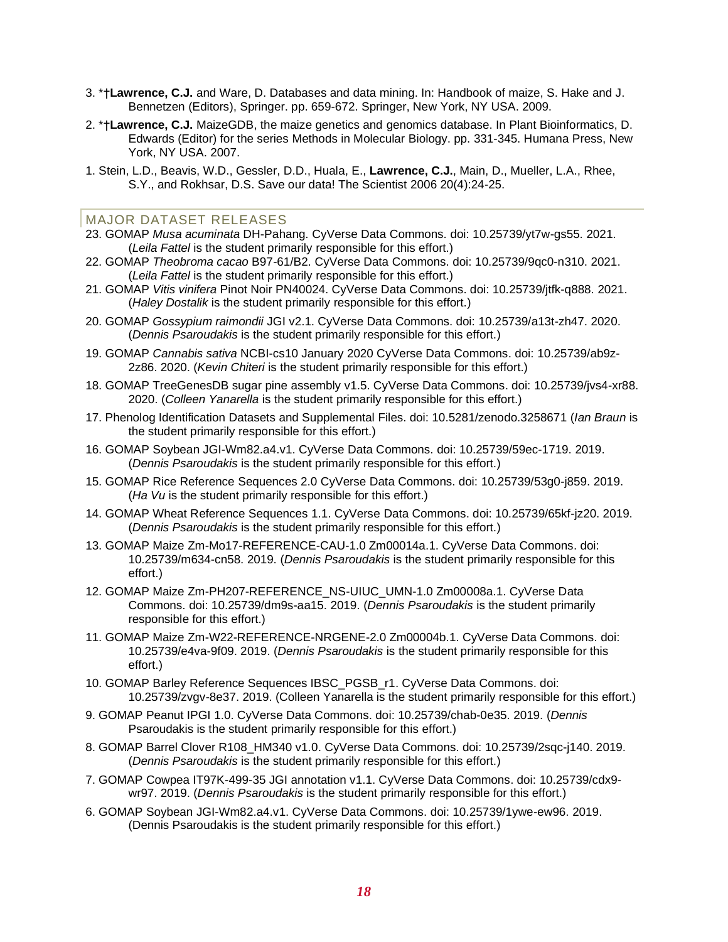- 3. \*†**Lawrence, C.J.** and Ware, D. Databases and data mining. In: Handbook of maize, S. Hake and J. Bennetzen (Editors), Springer. pp. 659-672. Springer, New York, NY USA. 2009.
- 2. \*†**Lawrence, C.J.** MaizeGDB, the maize genetics and genomics database. In Plant Bioinformatics, D. Edwards (Editor) for the series Methods in Molecular Biology. pp. 331-345. Humana Press, New York, NY USA. 2007.
- 1. Stein, L.D., Beavis, W.D., Gessler, D.D., Huala, E., **Lawrence, C.J.**, Main, D., Mueller, L.A., Rhee, S.Y., and Rokhsar, D.S. Save our data! The Scientist 2006 20(4):24-25.

#### MAJOR DATASET RELEASES

- 23. GOMAP *Musa acuminata* DH-Pahang. CyVerse Data Commons. doi: 10.25739/yt7w-gs55. 2021. (*Leila Fattel* is the student primarily responsible for this effort.)
- 22. GOMAP *Theobroma cacao* B97-61/B2. CyVerse Data Commons. doi: 10.25739/9qc0-n310. 2021. (*Leila Fattel* is the student primarily responsible for this effort.)
- 21. GOMAP *Vitis vinifera* Pinot Noir PN40024. CyVerse Data Commons. doi: 10.25739/jtfk-q888. 2021. (*Haley Dostalik* is the student primarily responsible for this effort.)
- 20. GOMAP *Gossypium raimondii* JGI v2.1. CyVerse Data Commons. doi: 10.25739/a13t-zh47. 2020. (*Dennis Psaroudakis* is the student primarily responsible for this effort.)
- 19. GOMAP *Cannabis sativa* NCBI-cs10 January 2020 CyVerse Data Commons. doi: 10.25739/ab9z-2z86. 2020. (*Kevin Chiteri* is the student primarily responsible for this effort.)
- 18. GOMAP TreeGenesDB sugar pine assembly v1.5. CyVerse Data Commons. doi: 10.25739/jvs4-xr88. 2020. (*Colleen Yanarella* is the student primarily responsible for this effort.)
- 17. Phenolog Identification Datasets and Supplemental Files. doi: 10.5281/zenodo.3258671 (*Ian Braun* is the student primarily responsible for this effort.)
- 16. GOMAP Soybean JGI-Wm82.a4.v1. CyVerse Data Commons. doi: 10.25739/59ec-1719. 2019. (*Dennis Psaroudakis* is the student primarily responsible for this effort.)
- 15. GOMAP Rice Reference Sequences 2.0 CyVerse Data Commons. doi: 10.25739/53g0-j859. 2019. (*Ha Vu* is the student primarily responsible for this effort.)
- 14. GOMAP Wheat Reference Sequences 1.1. CyVerse Data Commons. doi: 10.25739/65kf-jz20. 2019. (*Dennis Psaroudakis* is the student primarily responsible for this effort.)
- 13. GOMAP Maize Zm-Mo17-REFERENCE-CAU-1.0 Zm00014a.1. CyVerse Data Commons. doi: 10.25739/m634-cn58. 2019. (*Dennis Psaroudakis* is the student primarily responsible for this effort.)
- 12. GOMAP Maize Zm-PH207-REFERENCE\_NS-UIUC\_UMN-1.0 Zm00008a.1. CyVerse Data Commons. doi: 10.25739/dm9s-aa15. 2019. (*Dennis Psaroudakis* is the student primarily responsible for this effort.)
- 11. GOMAP Maize Zm-W22-REFERENCE-NRGENE-2.0 Zm00004b.1. CyVerse Data Commons. doi: 10.25739/e4va-9f09. 2019. (*Dennis Psaroudakis* is the student primarily responsible for this effort.)
- 10. GOMAP Barley Reference Sequences IBSC\_PGSB\_r1. CyVerse Data Commons. doi: 10.25739/zvgv-8e37. 2019. (Colleen Yanarella is the student primarily responsible for this effort.)
- 9. GOMAP Peanut IPGI 1.0. CyVerse Data Commons. doi: 10.25739/chab-0e35. 2019. (*Dennis*  Psaroudakis is the student primarily responsible for this effort.)
- 8. GOMAP Barrel Clover R108\_HM340 v1.0. CyVerse Data Commons. doi: 10.25739/2sqc-j140. 2019. (*Dennis Psaroudakis* is the student primarily responsible for this effort.)
- 7. GOMAP Cowpea IT97K-499-35 JGI annotation v1.1. CyVerse Data Commons. doi: 10.25739/cdx9 wr97. 2019. (*Dennis Psaroudakis* is the student primarily responsible for this effort.)
- 6. GOMAP Soybean JGI-Wm82.a4.v1. CyVerse Data Commons. doi: 10.25739/1ywe-ew96. 2019. (Dennis Psaroudakis is the student primarily responsible for this effort.)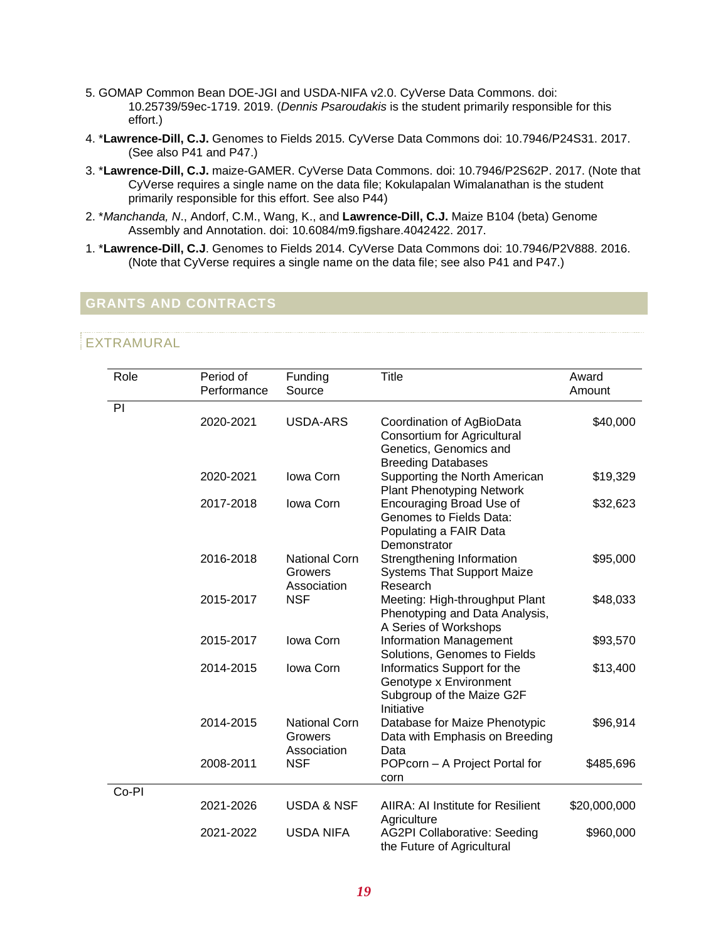- 5. GOMAP Common Bean DOE-JGI and USDA-NIFA v2.0. CyVerse Data Commons. doi: 10.25739/59ec-1719. 2019. (*Dennis Psaroudakis* is the student primarily responsible for this effort.)
- 4. \***Lawrence-Dill, C.J.** Genomes to Fields 2015. CyVerse Data Commons doi: 10.7946/P24S31. 2017. (See also P41 and P47.)
- 3. \***Lawrence-Dill, C.J.** maize-GAMER. CyVerse Data Commons. doi: 10.7946/P2S62P. 2017. (Note that CyVerse requires a single name on the data file; Kokulapalan Wimalanathan is the student primarily responsible for this effort. See also P44)
- 2. \**Manchanda, N*., Andorf, C.M., Wang, K., and **Lawrence-Dill, C.J.** Maize B104 (beta) Genome Assembly and Annotation. doi: 10.6084/m9.figshare.4042422. 2017.
- 1. \***Lawrence-Dill, C.J**. Genomes to Fields 2014. CyVerse Data Commons doi: 10.7946/P2V888. 2016. (Note that CyVerse requires a single name on the data file; see also P41 and P47.)

## **GRANTS AND CONTRACTS**

## EXTRAMURAL

| Role  | Period of<br>Performance | Funding<br>Source                              | <b>Title</b>                                                                                                    | Award<br>Amount |
|-------|--------------------------|------------------------------------------------|-----------------------------------------------------------------------------------------------------------------|-----------------|
| PI    |                          |                                                |                                                                                                                 |                 |
|       | 2020-2021                | USDA-ARS                                       | Coordination of AgBioData<br>Consortium for Agricultural<br>Genetics, Genomics and<br><b>Breeding Databases</b> | \$40,000        |
|       | 2020-2021                | Iowa Corn                                      | Supporting the North American<br><b>Plant Phenotyping Network</b>                                               | \$19,329        |
|       | 2017-2018                | Iowa Corn                                      | Encouraging Broad Use of<br>Genomes to Fields Data:<br>Populating a FAIR Data<br>Demonstrator                   | \$32,623        |
|       | 2016-2018                | <b>National Corn</b><br>Growers<br>Association | Strengthening Information<br><b>Systems That Support Maize</b><br>Research                                      | \$95,000        |
|       | 2015-2017                | <b>NSF</b>                                     | Meeting: High-throughput Plant<br>Phenotyping and Data Analysis,<br>A Series of Workshops                       | \$48,033        |
|       | 2015-2017                | Iowa Corn                                      | <b>Information Management</b><br>Solutions, Genomes to Fields                                                   | \$93,570        |
|       | 2014-2015                | Iowa Corn                                      | Informatics Support for the<br>Genotype x Environment<br>Subgroup of the Maize G2F<br>Initiative                | \$13,400        |
|       | 2014-2015                | <b>National Corn</b><br>Growers<br>Association | Database for Maize Phenotypic<br>Data with Emphasis on Breeding<br>Data                                         | \$96,914        |
|       | 2008-2011                | <b>NSF</b>                                     | POPcorn - A Project Portal for<br>corn                                                                          | \$485,696       |
| Co-PI | 2021-2026                | <b>USDA &amp; NSF</b>                          |                                                                                                                 |                 |
|       |                          |                                                | AIIRA: AI Institute for Resilient<br>Agriculture                                                                | \$20,000,000    |
|       | 2021-2022                | <b>USDA NIFA</b>                               | <b>AG2PI Collaborative: Seeding</b><br>the Future of Agricultural                                               | \$960,000       |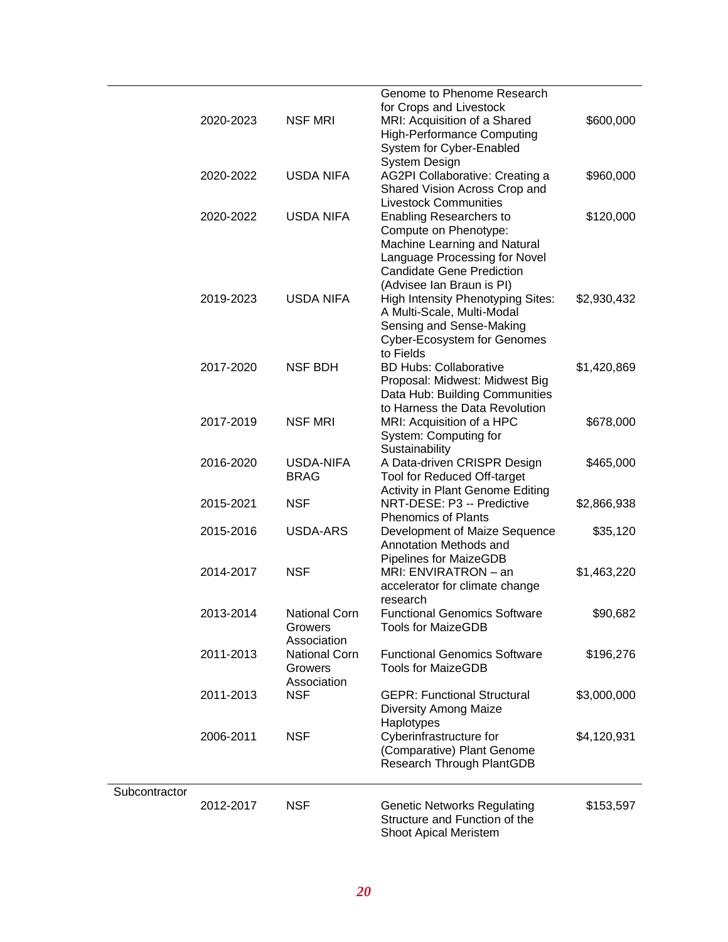|               |           |                      | Genome to Phenome Research                                    |             |
|---------------|-----------|----------------------|---------------------------------------------------------------|-------------|
|               |           |                      | for Crops and Livestock                                       |             |
|               | 2020-2023 | <b>NSF MRI</b>       | MRI: Acquisition of a Shared                                  | \$600,000   |
|               |           |                      | <b>High-Performance Computing</b>                             |             |
|               |           |                      | System for Cyber-Enabled                                      |             |
|               |           |                      | System Design                                                 |             |
|               | 2020-2022 | <b>USDA NIFA</b>     | AG2PI Collaborative: Creating a                               | \$960,000   |
|               |           |                      | Shared Vision Across Crop and<br><b>Livestock Communities</b> |             |
|               | 2020-2022 | <b>USDA NIFA</b>     | <b>Enabling Researchers to</b>                                | \$120,000   |
|               |           |                      | Compute on Phenotype:                                         |             |
|               |           |                      | Machine Learning and Natural                                  |             |
|               |           |                      | Language Processing for Novel                                 |             |
|               |           |                      | <b>Candidate Gene Prediction</b>                              |             |
|               |           |                      | (Advisee Ian Braun is PI)                                     |             |
|               | 2019-2023 | <b>USDA NIFA</b>     | <b>High Intensity Phenotyping Sites:</b>                      | \$2,930,432 |
|               |           |                      | A Multi-Scale, Multi-Modal                                    |             |
|               |           |                      | Sensing and Sense-Making                                      |             |
|               |           |                      | <b>Cyber-Ecosystem for Genomes</b>                            |             |
|               |           |                      | to Fields                                                     |             |
|               | 2017-2020 | <b>NSF BDH</b>       | <b>BD Hubs: Collaborative</b>                                 | \$1,420,869 |
|               |           |                      | Proposal: Midwest: Midwest Big                                |             |
|               |           |                      | Data Hub: Building Communities                                |             |
|               |           |                      | to Harness the Data Revolution                                |             |
|               | 2017-2019 | <b>NSF MRI</b>       | MRI: Acquisition of a HPC                                     | \$678,000   |
|               |           |                      | System: Computing for                                         |             |
|               |           |                      | Sustainability                                                |             |
|               | 2016-2020 | <b>USDA-NIFA</b>     | A Data-driven CRISPR Design                                   | \$465,000   |
|               |           | <b>BRAG</b>          | Tool for Reduced Off-target                                   |             |
|               |           |                      | Activity in Plant Genome Editing                              |             |
|               | 2015-2021 | <b>NSF</b>           | NRT-DESE: P3 -- Predictive                                    | \$2,866,938 |
|               |           |                      | <b>Phenomics of Plants</b>                                    |             |
|               | 2015-2016 | USDA-ARS             | Development of Maize Sequence                                 | \$35,120    |
|               |           |                      | Annotation Methods and                                        |             |
|               |           |                      | <b>Pipelines for MaizeGDB</b>                                 |             |
|               | 2014-2017 | <b>NSF</b>           | MRI: ENVIRATRON - an                                          | \$1,463,220 |
|               |           |                      | accelerator for climate change                                |             |
|               |           |                      | research                                                      |             |
|               | 2013-2014 | <b>National Corn</b> | <b>Functional Genomics Software</b>                           | \$90,682    |
|               |           | Growers              | <b>Tools for MaizeGDB</b>                                     |             |
|               |           | Association          |                                                               |             |
|               | 2011-2013 | <b>National Corn</b> | <b>Functional Genomics Software</b>                           | \$196,276   |
|               |           | Growers              | <b>Tools for MaizeGDB</b>                                     |             |
|               |           | Association          |                                                               |             |
|               | 2011-2013 | <b>NSF</b>           | <b>GEPR: Functional Structural</b>                            | \$3,000,000 |
|               |           |                      | <b>Diversity Among Maize</b>                                  |             |
|               | 2006-2011 | <b>NSF</b>           | Haplotypes<br>Cyberinfrastructure for                         | \$4,120,931 |
|               |           |                      |                                                               |             |
|               |           |                      | (Comparative) Plant Genome<br>Research Through PlantGDB       |             |
|               |           |                      |                                                               |             |
| Subcontractor |           |                      |                                                               |             |
|               | 2012-2017 | <b>NSF</b>           | <b>Genetic Networks Regulating</b>                            | \$153,597   |
|               |           |                      | Structure and Function of the                                 |             |
|               |           |                      | Shoot Apical Meristem                                         |             |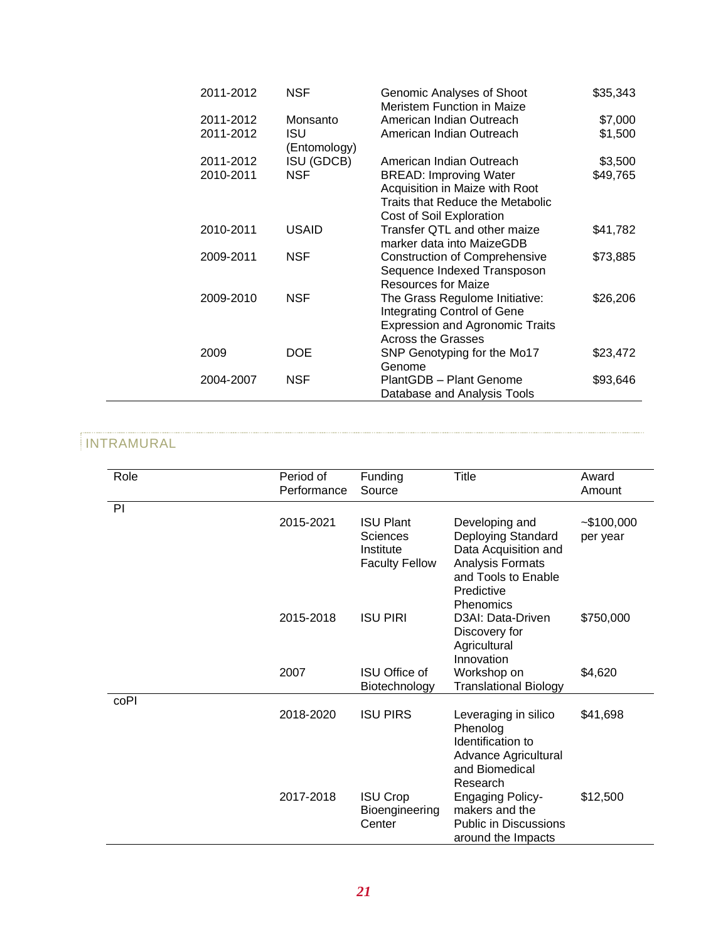| 2011-2012 | <b>NSF</b>          | Genomic Analyses of Shoot<br>Meristem Function in Maize                                                                              | \$35,343 |
|-----------|---------------------|--------------------------------------------------------------------------------------------------------------------------------------|----------|
| 2011-2012 | Monsanto            | American Indian Outreach                                                                                                             | \$7,000  |
| 2011-2012 | ISU<br>(Entomology) | American Indian Outreach                                                                                                             | \$1,500  |
| 2011-2012 | ISU (GDCB)          | American Indian Outreach                                                                                                             | \$3,500  |
| 2010-2011 | NSF                 | <b>BREAD: Improving Water</b><br>Acquisition in Maize with Root<br>Traits that Reduce the Metabolic<br>Cost of Soil Exploration      | \$49,765 |
| 2010-2011 | <b>USAID</b>        | Transfer QTL and other maize<br>marker data into MaizeGDB                                                                            | \$41,782 |
| 2009-2011 | NSF                 | <b>Construction of Comprehensive</b><br>Sequence Indexed Transposon<br>Resources for Maize                                           | \$73,885 |
| 2009-2010 | <b>NSF</b>          | The Grass Regulome Initiative:<br>Integrating Control of Gene<br><b>Expression and Agronomic Traits</b><br><b>Across the Grasses</b> | \$26,206 |
| 2009      | DOE                 | SNP Genotyping for the Mo17<br>Genome                                                                                                | \$23,472 |
| 2004-2007 | NSF                 | PlantGDB - Plant Genome<br>Database and Analysis Tools                                                                               | \$93,646 |

## INTRAMURAL

| Role           | Period of<br>Performance | Funding<br>Source                                                  | <b>Title</b>                                                                                                                       | Award<br>Amount           |
|----------------|--------------------------|--------------------------------------------------------------------|------------------------------------------------------------------------------------------------------------------------------------|---------------------------|
| P <sub>1</sub> | 2015-2021                | <b>ISU Plant</b><br>Sciences<br>Institute<br><b>Faculty Fellow</b> | Developing and<br>Deploying Standard<br>Data Acquisition and<br>Analysis Formats<br>and Tools to Enable<br>Predictive<br>Phenomics | $-$ \$100,000<br>per year |
|                | 2015-2018                | <b>ISU PIRI</b>                                                    | D3AI: Data-Driven<br>Discovery for<br>Agricultural<br>Innovation                                                                   | \$750,000                 |
|                | 2007                     | <b>ISU Office of</b><br>Biotechnology                              | Workshop on<br><b>Translational Biology</b>                                                                                        | \$4,620                   |
| coPI           | 2018-2020                | <b>ISU PIRS</b>                                                    | Leveraging in silico<br>Phenolog<br>Identification to<br>Advance Agricultural<br>and Biomedical<br>Research                        | \$41,698                  |
|                | 2017-2018                | <b>ISU Crop</b><br>Bioengineering<br>Center                        | <b>Engaging Policy-</b><br>makers and the<br><b>Public in Discussions</b><br>around the Impacts                                    | \$12,500                  |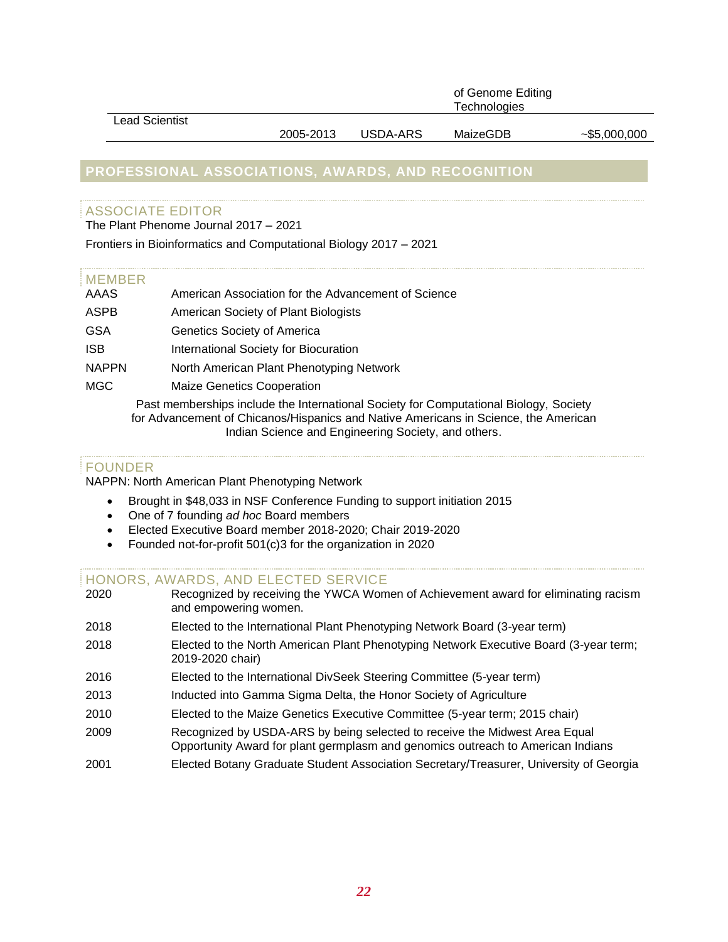|                       |           |          | of Genome Editing<br><b>Technologies</b> |                 |
|-----------------------|-----------|----------|------------------------------------------|-----------------|
| <b>Lead Scientist</b> |           |          |                                          |                 |
|                       | 2005-2013 | USDA-ARS | MaizeGDB                                 | $-$ \$5,000,000 |

## **PROFESSIONAL ASSOCIATIONS, AWARDS, AND RECOGNITION**

## ASSOCIATE EDITOR

The Plant Phenome Journal 2017 – 2021

Frontiers in Bioinformatics and Computational Biology 2017 – 2021

#### MEMBER

| AAAS         | American Association for the Advancement of Science                                   |
|--------------|---------------------------------------------------------------------------------------|
| ASPB         | American Society of Plant Biologists                                                  |
| <b>GSA</b>   | Genetics Society of America                                                           |
| <b>ISB</b>   | International Society for Biocuration                                                 |
| <b>NAPPN</b> | North American Plant Phenotyping Network                                              |
| <b>MGC</b>   | <b>Maize Genetics Cooperation</b>                                                     |
|              | Past memberships include the International Society for Computational Biology, Society |

for Advancement of Chicanos/Hispanics and Native Americans in Science, the American Indian Science and Engineering Society, and others.

## FOUNDER

NAPPN: North American Plant Phenotyping Network

- Brought in \$48,033 in NSF Conference Funding to support initiation 2015
- One of 7 founding *ad hoc* Board members
- Elected Executive Board member 2018-2020; Chair 2019-2020
- Founded not-for-profit 501(c)3 for the organization in 2020

#### HONORS, AWARDS, AND ELECTED SERVICE

- 2020 Recognized by receiving the YWCA Women of Achievement award for eliminating racism and empowering women.
- 2018 Elected to the International Plant Phenotyping Network Board (3-year term)
- 2018 Elected to the North American Plant Phenotyping Network Executive Board (3-year term; 2019-2020 chair)
- 2016 Elected to the International DivSeek Steering Committee (5-year term)
- 2013 Inducted into Gamma Sigma Delta, the Honor Society of Agriculture
- 2010 Elected to the Maize Genetics Executive Committee (5-year term; 2015 chair)
- 2009 Recognized by USDA-ARS by being selected to receive the Midwest Area Equal Opportunity Award for plant germplasm and genomics outreach to American Indians
- 2001 Elected Botany Graduate Student Association Secretary/Treasurer, University of Georgia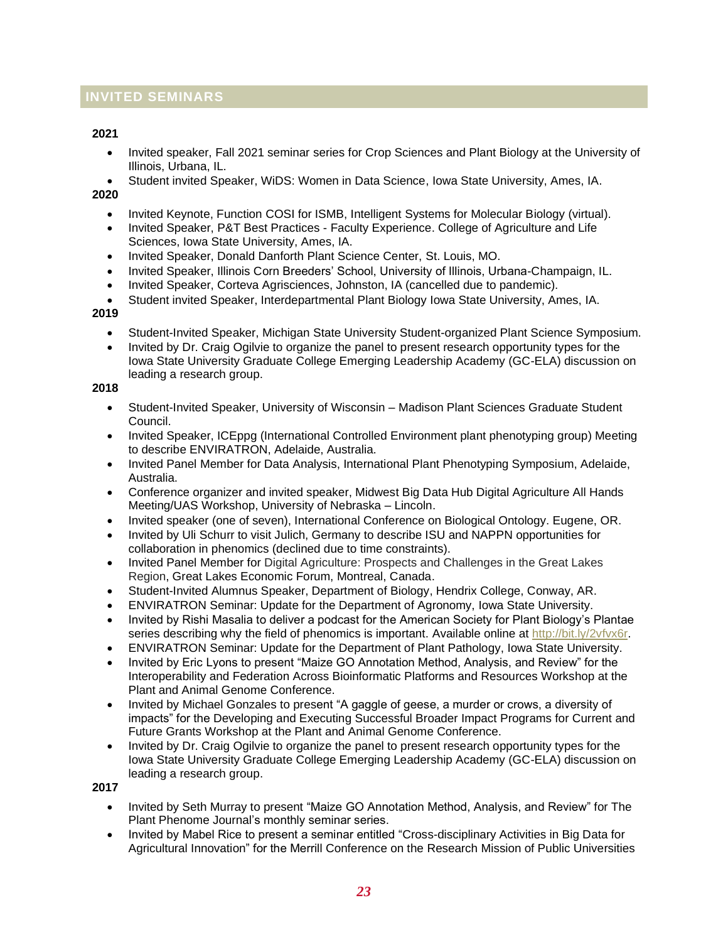## **INVITED SEMINARS**

#### **2021**

- Invited speaker, Fall 2021 seminar series for Crop Sciences and Plant Biology at the University of Illinois, Urbana, IL.
- Student invited Speaker, WiDS: Women in Data Science, Iowa State University, Ames, IA.

#### **2020**

- Invited Keynote, Function COSI for ISMB, Intelligent Systems for Molecular Biology (virtual).
- Invited Speaker, P&T Best Practices Faculty Experience. College of Agriculture and Life Sciences, Iowa State University, Ames, IA.
- Invited Speaker, Donald Danforth Plant Science Center, St. Louis, MO.
- Invited Speaker, Illinois Corn Breeders' School, University of Illinois, Urbana-Champaign, IL.
- Invited Speaker, Corteva Agrisciences, Johnston, IA (cancelled due to pandemic).
- Student invited Speaker, Interdepartmental Plant Biology Iowa State University, Ames, IA.

#### **2019**

- Student-Invited Speaker, Michigan State University Student-organized Plant Science Symposium.
- Invited by Dr. Craig Ogilvie to organize the panel to present research opportunity types for the Iowa State University Graduate College Emerging Leadership Academy (GC-ELA) discussion on leading a research group.

#### **2018**

- Student-Invited Speaker, University of Wisconsin Madison Plant Sciences Graduate Student Council.
- Invited Speaker, ICEppg (International Controlled Environment plant phenotyping group) Meeting to describe ENVIRATRON, Adelaide, Australia.
- Invited Panel Member for Data Analysis, International Plant Phenotyping Symposium, Adelaide, Australia.
- Conference organizer and invited speaker, Midwest Big Data Hub Digital Agriculture All Hands Meeting/UAS Workshop, University of Nebraska – Lincoln.
- Invited speaker (one of seven), International Conference on Biological Ontology. Eugene, OR.
- Invited by Uli Schurr to visit Julich, Germany to describe ISU and NAPPN opportunities for collaboration in phenomics (declined due to time constraints).
- Invited Panel Member for Digital Agriculture: Prospects and Challenges in the Great Lakes Region, Great Lakes Economic Forum, Montreal, Canada.
- Student-Invited Alumnus Speaker, Department of Biology, Hendrix College, Conway, AR.
- ENVIRATRON Seminar: Update for the Department of Agronomy, Iowa State University.
- Invited by Rishi Masalia to deliver a podcast for the American Society for Plant Biology's Plantae series describing why the field of phenomics is important. Available online at [http://bit.ly/2vfvx6r.](http://bit.ly/2vfvx6r)
- ENVIRATRON Seminar: Update for the Department of Plant Pathology, Iowa State University.
- Invited by Eric Lyons to present "Maize GO Annotation Method, Analysis, and Review" for the Interoperability and Federation Across Bioinformatic Platforms and Resources Workshop at the Plant and Animal Genome Conference.
- Invited by Michael Gonzales to present "A gaggle of geese, a murder or crows, a diversity of impacts" for the Developing and Executing Successful Broader Impact Programs for Current and Future Grants Workshop at the Plant and Animal Genome Conference.
- Invited by Dr. Craig Ogilvie to organize the panel to present research opportunity types for the Iowa State University Graduate College Emerging Leadership Academy (GC-ELA) discussion on leading a research group.

 **2017**

- Invited by Seth Murray to present "Maize GO Annotation Method, Analysis, and Review" for The Plant Phenome Journal's monthly seminar series.
- Invited by Mabel Rice to present a seminar entitled "Cross-disciplinary Activities in Big Data for Agricultural Innovation" for the Merrill Conference on the Research Mission of Public Universities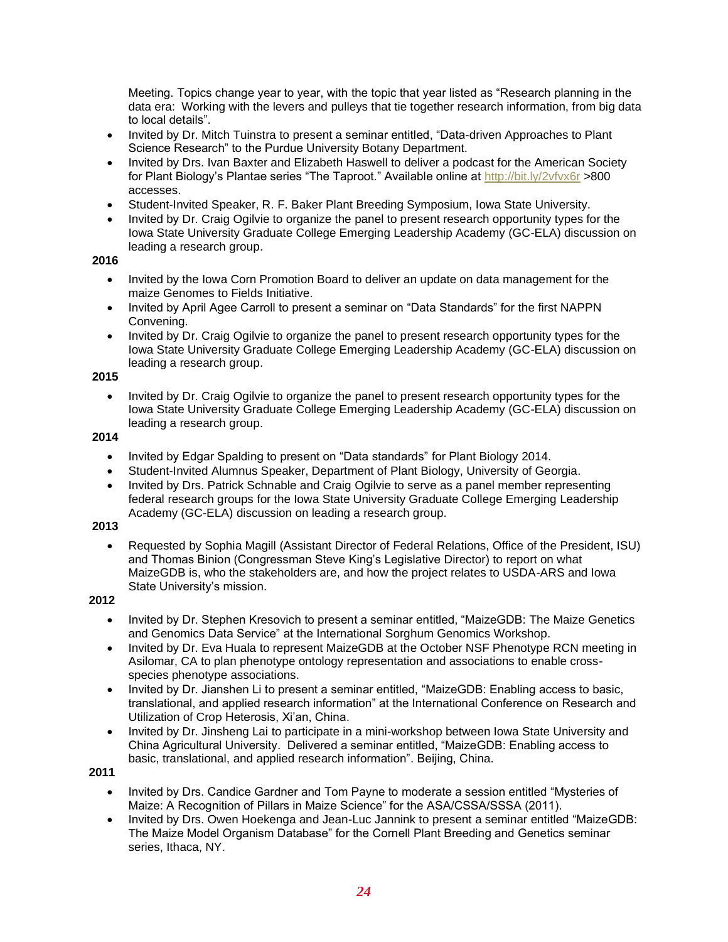Meeting. Topics change year to year, with the topic that year listed as "Research planning in the data era: Working with the levers and pulleys that tie together research information, from big data to local details".

- Invited by Dr. Mitch Tuinstra to present a seminar entitled, "Data-driven Approaches to Plant Science Research" to the Purdue University Botany Department.
- Invited by Drs. Ivan Baxter and Elizabeth Haswell to deliver a podcast for the American Society for Plant Biology's Plantae series "The Taproot." Available online at<http://bit.ly/2vfvx6r> >800 accesses.
- Student-Invited Speaker, R. F. Baker Plant Breeding Symposium, Iowa State University.
- Invited by Dr. Craig Ogilvie to organize the panel to present research opportunity types for the Iowa State University Graduate College Emerging Leadership Academy (GC-ELA) discussion on leading a research group.

#### **2016**

- Invited by the Iowa Corn Promotion Board to deliver an update on data management for the maize Genomes to Fields Initiative.
- Invited by April Agee Carroll to present a seminar on "Data Standards" for the first NAPPN Convening.
- Invited by Dr. Craig Ogilvie to organize the panel to present research opportunity types for the Iowa State University Graduate College Emerging Leadership Academy (GC-ELA) discussion on leading a research group.

#### **2015**

• Invited by Dr. Craig Ogilvie to organize the panel to present research opportunity types for the Iowa State University Graduate College Emerging Leadership Academy (GC-ELA) discussion on leading a research group.

#### **2014**

- Invited by Edgar Spalding to present on "Data standards" for Plant Biology 2014.
- Student-Invited Alumnus Speaker, Department of Plant Biology, University of Georgia.
- Invited by Drs. Patrick Schnable and Craig Ogilvie to serve as a panel member representing federal research groups for the Iowa State University Graduate College Emerging Leadership Academy (GC-ELA) discussion on leading a research group.

## **2013**

• Requested by Sophia Magill (Assistant Director of Federal Relations, Office of the President, ISU) and Thomas Binion (Congressman Steve King's Legislative Director) to report on what MaizeGDB is, who the stakeholders are, and how the project relates to USDA-ARS and Iowa State University's mission.

#### **2012**

- Invited by Dr. Stephen Kresovich to present a seminar entitled, "MaizeGDB: The Maize Genetics and Genomics Data Service" at the International Sorghum Genomics Workshop.
- Invited by Dr. Eva Huala to represent MaizeGDB at the October NSF Phenotype RCN meeting in Asilomar, CA to plan phenotype ontology representation and associations to enable crossspecies phenotype associations.
- Invited by Dr. Jianshen Li to present a seminar entitled, "MaizeGDB: Enabling access to basic, translational, and applied research information" at the International Conference on Research and Utilization of Crop Heterosis, Xi'an, China.
- Invited by Dr. Jinsheng Lai to participate in a mini-workshop between Iowa State University and China Agricultural University. Delivered a seminar entitled, "MaizeGDB: Enabling access to basic, translational, and applied research information". Beijing, China.

#### **2011**

- Invited by Drs. Candice Gardner and Tom Payne to moderate a session entitled "Mysteries of Maize: A Recognition of Pillars in Maize Science" for the ASA/CSSA/SSSA (2011).
- Invited by Drs. Owen Hoekenga and Jean-Luc Jannink to present a seminar entitled "MaizeGDB: The Maize Model Organism Database" for the Cornell Plant Breeding and Genetics seminar series, Ithaca, NY.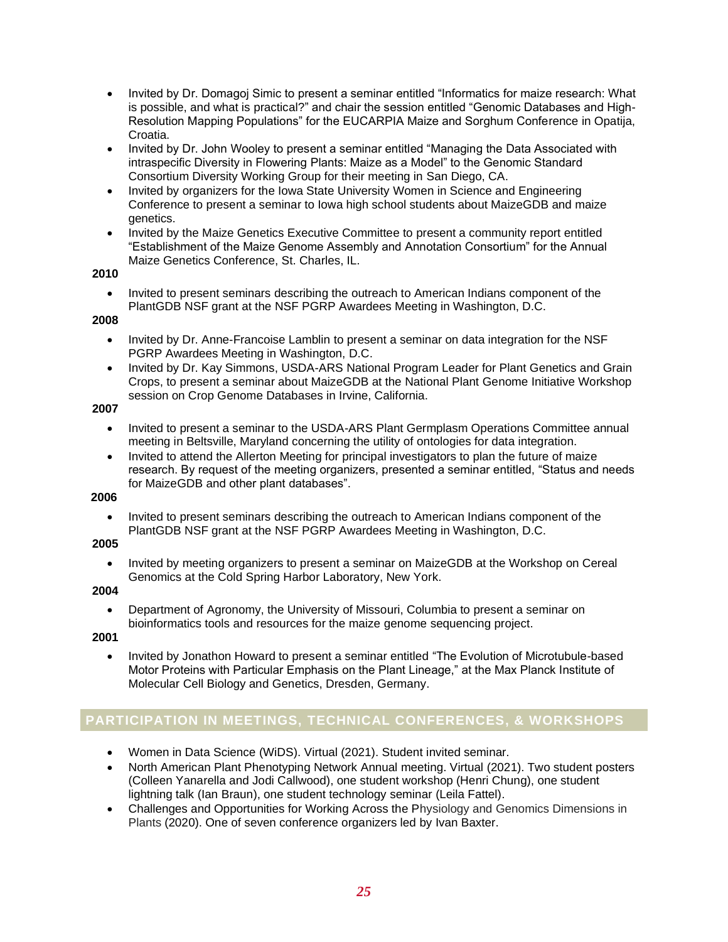- Invited by Dr. Domagoj Simic to present a seminar entitled "Informatics for maize research: What is possible, and what is practical?" and chair the session entitled "Genomic Databases and High-Resolution Mapping Populations" for the EUCARPIA Maize and Sorghum Conference in Opatija, Croatia.
- Invited by Dr. John Wooley to present a seminar entitled "Managing the Data Associated with intraspecific Diversity in Flowering Plants: Maize as a Model" to the Genomic Standard Consortium Diversity Working Group for their meeting in San Diego, CA.
- Invited by organizers for the Iowa State University Women in Science and Engineering Conference to present a seminar to Iowa high school students about MaizeGDB and maize genetics.
- Invited by the Maize Genetics Executive Committee to present a community report entitled "Establishment of the Maize Genome Assembly and Annotation Consortium" for the Annual Maize Genetics Conference, St. Charles, IL.

#### **2010**

• Invited to present seminars describing the outreach to American Indians component of the PlantGDB NSF grant at the NSF PGRP Awardees Meeting in Washington, D.C.

#### **2008**

- Invited by Dr. Anne-Francoise Lamblin to present a seminar on data integration for the NSF PGRP Awardees Meeting in Washington, D.C.
- Invited by Dr. Kay Simmons, USDA-ARS National Program Leader for Plant Genetics and Grain Crops, to present a seminar about MaizeGDB at the National Plant Genome Initiative Workshop session on Crop Genome Databases in Irvine, California.

#### **2007**

- Invited to present a seminar to the USDA-ARS Plant Germplasm Operations Committee annual meeting in Beltsville, Maryland concerning the utility of ontologies for data integration.
- Invited to attend the Allerton Meeting for principal investigators to plan the future of maize research. By request of the meeting organizers, presented a seminar entitled, "Status and needs for MaizeGDB and other plant databases".

## **2006**

• Invited to present seminars describing the outreach to American Indians component of the PlantGDB NSF grant at the NSF PGRP Awardees Meeting in Washington, D.C.

## **2005**

• Invited by meeting organizers to present a seminar on MaizeGDB at the Workshop on Cereal Genomics at the Cold Spring Harbor Laboratory, New York.

#### **2004**

• Department of Agronomy, the University of Missouri, Columbia to present a seminar on bioinformatics tools and resources for the maize genome sequencing project.

#### **2001**

• Invited by Jonathon Howard to present a seminar entitled "The Evolution of Microtubule-based Motor Proteins with Particular Emphasis on the Plant Lineage," at the Max Planck Institute of Molecular Cell Biology and Genetics, Dresden, Germany.

## **PARTICIPATION IN MEETINGS, TECHNICAL CONFERENCES, & WORKSHOPS**

- Women in Data Science (WiDS). Virtual (2021). Student invited seminar.
- North American Plant Phenotyping Network Annual meeting. Virtual (2021). Two student posters (Colleen Yanarella and Jodi Callwood), one student workshop (Henri Chung), one student lightning talk (Ian Braun), one student technology seminar (Leila Fattel).
- Challenges and Opportunities for Working Across the Physiology and Genomics Dimensions in Plants (2020). One of seven conference organizers led by Ivan Baxter.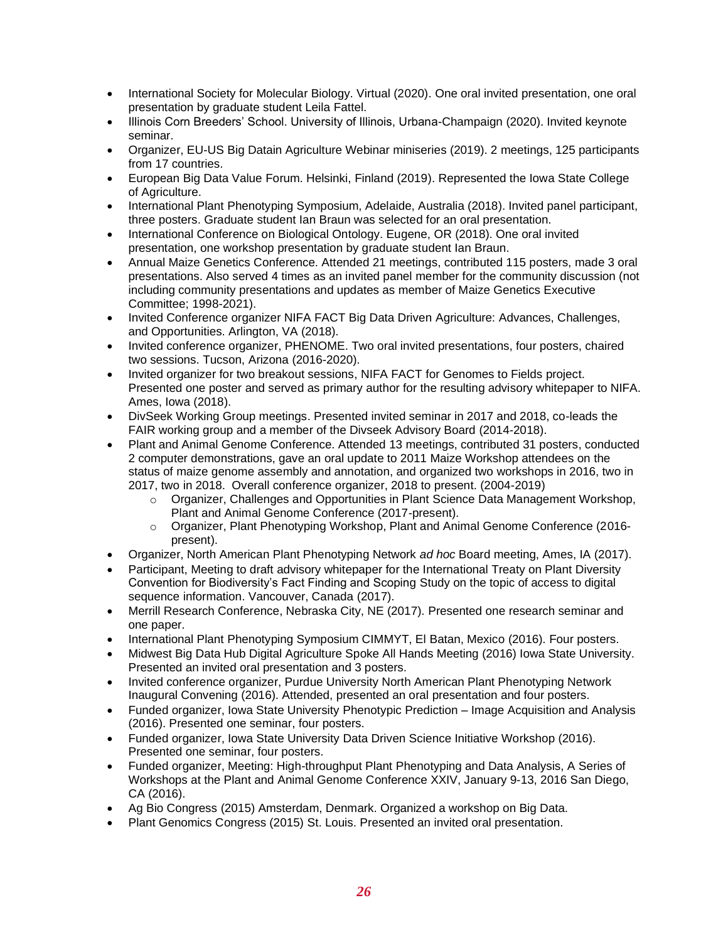- International Society for Molecular Biology. Virtual (2020). One oral invited presentation, one oral presentation by graduate student Leila Fattel.
- Illinois Corn Breeders' School. University of Illinois, Urbana-Champaign (2020). Invited keynote seminar.
- Organizer, EU-US Big Datain Agriculture Webinar miniseries (2019). 2 meetings, 125 participants from 17 countries.
- European Big Data Value Forum. Helsinki, Finland (2019). Represented the Iowa State College of Agriculture.
- International Plant Phenotyping Symposium, Adelaide, Australia (2018). Invited panel participant, three posters. Graduate student Ian Braun was selected for an oral presentation.
- International Conference on Biological Ontology. Eugene, OR (2018). One oral invited presentation, one workshop presentation by graduate student Ian Braun.
- Annual Maize Genetics Conference. Attended 21 meetings, contributed 115 posters, made 3 oral presentations. Also served 4 times as an invited panel member for the community discussion (not including community presentations and updates as member of Maize Genetics Executive Committee; 1998-2021).
- Invited Conference organizer NIFA FACT Big Data Driven Agriculture: Advances, Challenges, and Opportunities. Arlington, VA (2018).
- Invited conference organizer, PHENOME. Two oral invited presentations, four posters, chaired two sessions. Tucson, Arizona (2016-2020).
- Invited organizer for two breakout sessions, NIFA FACT for Genomes to Fields project. Presented one poster and served as primary author for the resulting advisory whitepaper to NIFA. Ames, Iowa (2018).
- DivSeek Working Group meetings. Presented invited seminar in 2017 and 2018, co-leads the FAIR working group and a member of the Divseek Advisory Board (2014-2018).
- Plant and Animal Genome Conference. Attended 13 meetings, contributed 31 posters, conducted 2 computer demonstrations, gave an oral update to 2011 Maize Workshop attendees on the status of maize genome assembly and annotation, and organized two workshops in 2016, two in 2017, two in 2018. Overall conference organizer, 2018 to present. (2004-2019)
	- o Organizer, Challenges and Opportunities in Plant Science Data Management Workshop, Plant and Animal Genome Conference (2017-present).
	- o Organizer, Plant Phenotyping Workshop, Plant and Animal Genome Conference (2016 present).
- Organizer, North American Plant Phenotyping Network *ad hoc* Board meeting, Ames, IA (2017).
- Participant, Meeting to draft advisory whitepaper for the International Treaty on Plant Diversity Convention for Biodiversity's Fact Finding and Scoping Study on the topic of access to digital sequence information. Vancouver, Canada (2017).
- Merrill Research Conference, Nebraska City, NE (2017). Presented one research seminar and one paper.
- International Plant Phenotyping Symposium CIMMYT, El Batan, Mexico (2016). Four posters.
- Midwest Big Data Hub Digital Agriculture Spoke All Hands Meeting (2016) Iowa State University. Presented an invited oral presentation and 3 posters.
- Invited conference organizer, Purdue University North American Plant Phenotyping Network Inaugural Convening (2016). Attended, presented an oral presentation and four posters.
- Funded organizer, Iowa State University Phenotypic Prediction Image Acquisition and Analysis (2016). Presented one seminar, four posters.
- Funded organizer, Iowa State University Data Driven Science Initiative Workshop (2016). Presented one seminar, four posters.
- Funded organizer, Meeting: High-throughput Plant Phenotyping and Data Analysis, A Series of Workshops at the Plant and Animal Genome Conference XXIV, January 9-13, 2016 San Diego, CA (2016).
- Ag Bio Congress (2015) Amsterdam, Denmark. Organized a workshop on Big Data.
- Plant Genomics Congress (2015) St. Louis. Presented an invited oral presentation.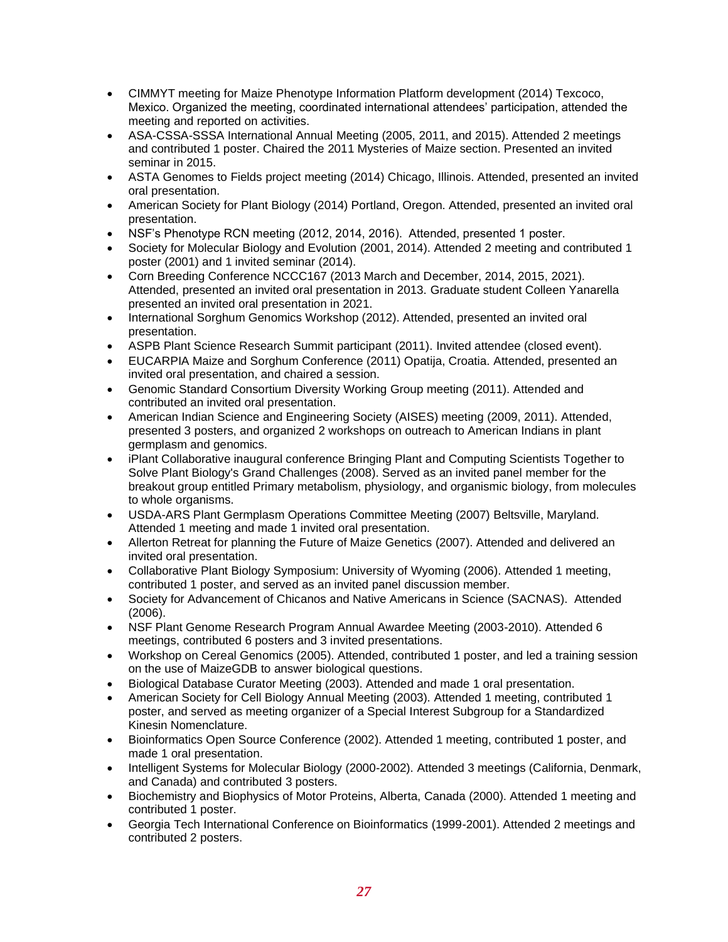- CIMMYT meeting for Maize Phenotype Information Platform development (2014) Texcoco, Mexico. Organized the meeting, coordinated international attendees' participation, attended the meeting and reported on activities.
- ASA-CSSA-SSSA International Annual Meeting (2005, 2011, and 2015). Attended 2 meetings and contributed 1 poster. Chaired the 2011 Mysteries of Maize section. Presented an invited seminar in 2015.
- ASTA Genomes to Fields project meeting (2014) Chicago, Illinois. Attended, presented an invited oral presentation.
- American Society for Plant Biology (2014) Portland, Oregon. Attended, presented an invited oral presentation.
- NSF's Phenotype RCN meeting (2012, 2014, 2016). Attended, presented 1 poster.
- Society for Molecular Biology and Evolution (2001, 2014). Attended 2 meeting and contributed 1 poster (2001) and 1 invited seminar (2014).
- Corn Breeding Conference NCCC167 (2013 March and December, 2014, 2015, 2021). Attended, presented an invited oral presentation in 2013. Graduate student Colleen Yanarella presented an invited oral presentation in 2021.
- International Sorghum Genomics Workshop (2012). Attended, presented an invited oral presentation.
- ASPB Plant Science Research Summit participant (2011). Invited attendee (closed event).
- EUCARPIA Maize and Sorghum Conference (2011) Opatija, Croatia. Attended, presented an invited oral presentation, and chaired a session.
- Genomic Standard Consortium Diversity Working Group meeting (2011). Attended and contributed an invited oral presentation.
- American Indian Science and Engineering Society (AISES) meeting (2009, 2011). Attended, presented 3 posters, and organized 2 workshops on outreach to American Indians in plant germplasm and genomics.
- iPlant Collaborative inaugural conference Bringing Plant and Computing Scientists Together to Solve Plant Biology's Grand Challenges (2008). Served as an invited panel member for the breakout group entitled Primary metabolism, physiology, and organismic biology, from molecules to whole organisms.
- USDA-ARS Plant Germplasm Operations Committee Meeting (2007) Beltsville, Maryland. Attended 1 meeting and made 1 invited oral presentation.
- Allerton Retreat for planning the Future of Maize Genetics (2007). Attended and delivered an invited oral presentation.
- Collaborative Plant Biology Symposium: University of Wyoming (2006). Attended 1 meeting, contributed 1 poster, and served as an invited panel discussion member.
- Society for Advancement of Chicanos and Native Americans in Science (SACNAS). Attended (2006).
- NSF Plant Genome Research Program Annual Awardee Meeting (2003-2010). Attended 6 meetings, contributed 6 posters and 3 invited presentations.
- Workshop on Cereal Genomics (2005). Attended, contributed 1 poster, and led a training session on the use of MaizeGDB to answer biological questions.
- Biological Database Curator Meeting (2003). Attended and made 1 oral presentation.
- American Society for Cell Biology Annual Meeting (2003). Attended 1 meeting, contributed 1 poster, and served as meeting organizer of a Special Interest Subgroup for a Standardized Kinesin Nomenclature.
- Bioinformatics Open Source Conference (2002). Attended 1 meeting, contributed 1 poster, and made 1 oral presentation.
- Intelligent Systems for Molecular Biology (2000-2002). Attended 3 meetings (California, Denmark, and Canada) and contributed 3 posters.
- Biochemistry and Biophysics of Motor Proteins, Alberta, Canada (2000). Attended 1 meeting and contributed 1 poster.
- Georgia Tech International Conference on Bioinformatics (1999-2001). Attended 2 meetings and contributed 2 posters.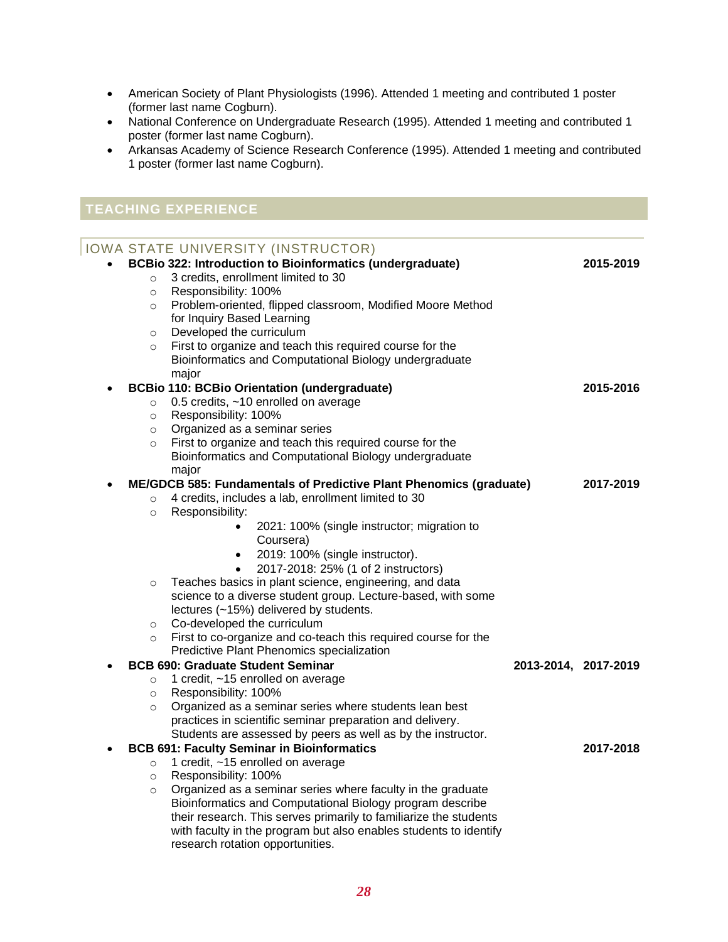- American Society of Plant Physiologists (1996). Attended 1 meeting and contributed 1 poster (former last name Cogburn).
- National Conference on Undergraduate Research (1995). Attended 1 meeting and contributed 1 poster (former last name Cogburn).
- Arkansas Academy of Science Research Conference (1995). Attended 1 meeting and contributed 1 poster (former last name Cogburn).

## **TEACHING EXPERIENCE**

|          | IOWA STATE UNIVERSITY (INSTRUCTOR)                                 |                      |           |
|----------|--------------------------------------------------------------------|----------------------|-----------|
|          | <b>BCBio 322: Introduction to Bioinformatics (undergraduate)</b>   |                      | 2015-2019 |
| $\circ$  | 3 credits, enrollment limited to 30                                |                      |           |
| $\circ$  | Responsibility: 100%                                               |                      |           |
| $\circ$  | Problem-oriented, flipped classroom, Modified Moore Method         |                      |           |
|          | for Inquiry Based Learning                                         |                      |           |
| $\circ$  | Developed the curriculum                                           |                      |           |
| $\circ$  | First to organize and teach this required course for the           |                      |           |
|          | Bioinformatics and Computational Biology undergraduate             |                      |           |
|          | major                                                              |                      |           |
|          | <b>BCBio 110: BCBio Orientation (undergraduate)</b>                |                      | 2015-2016 |
| $\circ$  | 0.5 credits, ~10 enrolled on average                               |                      |           |
| $\circ$  | Responsibility: 100%                                               |                      |           |
| $\circ$  | Organized as a seminar series                                      |                      |           |
| $\Omega$ | First to organize and teach this required course for the           |                      |           |
|          | Bioinformatics and Computational Biology undergraduate             |                      |           |
|          | major                                                              |                      |           |
|          | ME/GDCB 585: Fundamentals of Predictive Plant Phenomics (graduate) |                      | 2017-2019 |
| $\circ$  | 4 credits, includes a lab, enrollment limited to 30                |                      |           |
| $\circ$  | Responsibility:                                                    |                      |           |
|          | 2021: 100% (single instructor; migration to                        |                      |           |
|          | Coursera)                                                          |                      |           |
|          | 2019: 100% (single instructor).<br>$\bullet$                       |                      |           |
|          | 2017-2018: 25% (1 of 2 instructors)                                |                      |           |
| $\circ$  | Teaches basics in plant science, engineering, and data             |                      |           |
|          | science to a diverse student group. Lecture-based, with some       |                      |           |
|          | lectures (~15%) delivered by students.                             |                      |           |
| $\circ$  | Co-developed the curriculum                                        |                      |           |
| $\circ$  | First to co-organize and co-teach this required course for the     |                      |           |
|          | Predictive Plant Phenomics specialization                          |                      |           |
|          | <b>BCB 690: Graduate Student Seminar</b>                           | 2013-2014, 2017-2019 |           |
| $\circ$  | 1 credit, ~15 enrolled on average                                  |                      |           |
| $\circ$  | Responsibility: 100%                                               |                      |           |
| $\circ$  | Organized as a seminar series where students lean best             |                      |           |
|          | practices in scientific seminar preparation and delivery.          |                      |           |
|          | Students are assessed by peers as well as by the instructor.       |                      |           |
|          | <b>BCB 691: Faculty Seminar in Bioinformatics</b>                  |                      | 2017-2018 |
| $\circ$  | 1 credit, ~15 enrolled on average                                  |                      |           |
| $\circ$  | Responsibility: 100%                                               |                      |           |
| $\circ$  | Organized as a seminar series where faculty in the graduate        |                      |           |
|          | Bioinformatics and Computational Biology program describe          |                      |           |
|          | their research. This serves primarily to familiarize the students  |                      |           |
|          | with faculty in the program but also enables students to identify  |                      |           |
|          | research rotation opportunities.                                   |                      |           |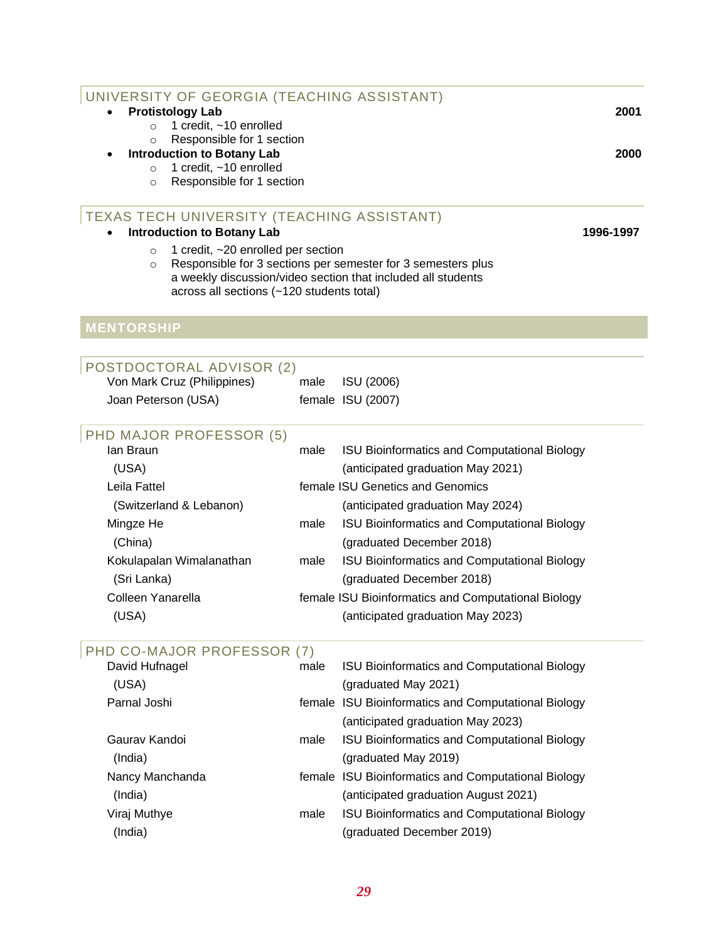| UNIVERSITY OF GEORGIA (TEACHING ASSISTANT)                             |      |                                                              |           |
|------------------------------------------------------------------------|------|--------------------------------------------------------------|-----------|
| <b>Protistology Lab</b>                                                |      |                                                              | 2001      |
| 1 credit, ~10 enrolled<br>$\circ$                                      |      |                                                              |           |
| Responsible for 1 section<br>$\circ$                                   |      |                                                              |           |
| <b>Introduction to Botany Lab</b><br>1 credit, ~10 enrolled<br>$\circ$ |      |                                                              | 2000      |
| Responsible for 1 section<br>$\circ$                                   |      |                                                              |           |
|                                                                        |      |                                                              |           |
| TEXAS TECH UNIVERSITY (TEACHING ASSISTANT)                             |      |                                                              |           |
| <b>Introduction to Botany Lab</b>                                      |      |                                                              | 1996-1997 |
| 1 credit, ~20 enrolled per section<br>$\circ$                          |      |                                                              |           |
| $\circ$                                                                |      | Responsible for 3 sections per semester for 3 semesters plus |           |
|                                                                        |      | a weekly discussion/video section that included all students |           |
| across all sections (~120 students total)                              |      |                                                              |           |
|                                                                        |      |                                                              |           |
| <b>MENTORSHIP</b>                                                      |      |                                                              |           |
|                                                                        |      |                                                              |           |
| POSTDOCTORAL ADVISOR (2)                                               |      |                                                              |           |
| Von Mark Cruz (Philippines)                                            | male | ISU (2006)                                                   |           |
| Joan Peterson (USA)                                                    |      | female ISU (2007)                                            |           |
|                                                                        |      |                                                              |           |
| PHD MAJOR PROFESSOR (5)                                                |      |                                                              |           |
| lan Braun                                                              | male | ISU Bioinformatics and Computational Biology                 |           |
| (USA)                                                                  |      | (anticipated graduation May 2021)                            |           |
| Leila Fattel                                                           |      | female ISU Genetics and Genomics                             |           |
| (Switzerland & Lebanon)                                                |      | (anticipated graduation May 2024)                            |           |
| Mingze He                                                              | male | ISU Bioinformatics and Computational Biology                 |           |
| (China)                                                                |      | (graduated December 2018)                                    |           |
| Kokulapalan Wimalanathan                                               | male | ISU Bioinformatics and Computational Biology                 |           |
| (Sri Lanka)                                                            |      | (graduated December 2018)                                    |           |
| Colleen Yanarella                                                      |      | female ISU Bioinformatics and Computational Biology          |           |
| (USA)                                                                  |      | (anticipated graduation May 2023)                            |           |
|                                                                        |      |                                                              |           |
| PHD CO-MAJOR PROFESSOR (7)                                             |      |                                                              |           |
| David Hufnagel                                                         | male | <b>ISU Bioinformatics and Computational Biology</b>          |           |
| (USA)                                                                  |      | (graduated May 2021)                                         |           |
| Parnal Joshi                                                           |      | female ISU Bioinformatics and Computational Biology          |           |
|                                                                        |      | (anticipated graduation May 2023)                            |           |
| Gauray Kandoi                                                          | male | <b>ISU Bioinformatics and Computational Biology</b>          |           |
| (India)                                                                |      | (graduated May 2019)                                         |           |
|                                                                        |      |                                                              |           |
| Nancy Manchanda                                                        |      | female ISU Bioinformatics and Computational Biology          |           |
| (India)                                                                |      | (anticipated graduation August 2021)                         |           |
| Viraj Muthye                                                           | male | ISU Bioinformatics and Computational Biology                 |           |
| (India)                                                                |      | (graduated December 2019)                                    |           |
|                                                                        |      |                                                              |           |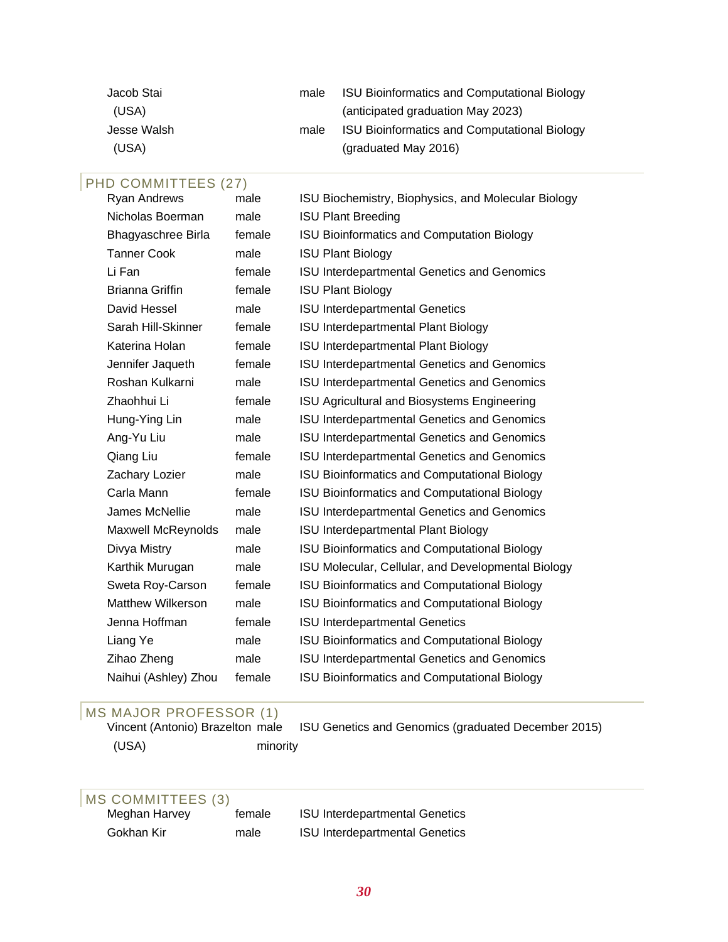| male | <b>ISU Bioinformatics and Computational Biology</b> |
|------|-----------------------------------------------------|
|      | (anticipated graduation May 2023)                   |
| male | <b>ISU Bioinformatics and Computational Biology</b> |
|      | (graduated May 2016)                                |
|      |                                                     |

## PHD COMMITTEES (27)

| Ryan Andrews              | male   | ISU Biochemistry, Biophysics, and Molecular Biology |
|---------------------------|--------|-----------------------------------------------------|
| Nicholas Boerman          | male   | <b>ISU Plant Breeding</b>                           |
| Bhagyaschree Birla        | female | <b>ISU Bioinformatics and Computation Biology</b>   |
| <b>Tanner Cook</b>        | male   | <b>ISU Plant Biology</b>                            |
| Li Fan                    | female | ISU Interdepartmental Genetics and Genomics         |
| <b>Brianna Griffin</b>    | female | <b>ISU Plant Biology</b>                            |
| David Hessel              | male   | <b>ISU Interdepartmental Genetics</b>               |
| Sarah Hill-Skinner        | female | <b>ISU Interdepartmental Plant Biology</b>          |
| Katerina Holan            | female | <b>ISU Interdepartmental Plant Biology</b>          |
| Jennifer Jaqueth          | female | ISU Interdepartmental Genetics and Genomics         |
| Roshan Kulkarni           | male   | ISU Interdepartmental Genetics and Genomics         |
| Zhaohhui Li               | female | ISU Agricultural and Biosystems Engineering         |
| Hung-Ying Lin             | male   | ISU Interdepartmental Genetics and Genomics         |
| Ang-Yu Liu                | male   | ISU Interdepartmental Genetics and Genomics         |
| Qiang Liu                 | female | ISU Interdepartmental Genetics and Genomics         |
| Zachary Lozier            | male   | <b>ISU Bioinformatics and Computational Biology</b> |
| Carla Mann                | female | ISU Bioinformatics and Computational Biology        |
| James McNellie            | male   | ISU Interdepartmental Genetics and Genomics         |
| <b>Maxwell McReynolds</b> | male   | <b>ISU Interdepartmental Plant Biology</b>          |
| Divya Mistry              | male   | ISU Bioinformatics and Computational Biology        |
| Karthik Murugan           | male   | ISU Molecular, Cellular, and Developmental Biology  |
| Sweta Roy-Carson          | female | <b>ISU Bioinformatics and Computational Biology</b> |
| <b>Matthew Wilkerson</b>  | male   | <b>ISU Bioinformatics and Computational Biology</b> |
| Jenna Hoffman             | female | <b>ISU Interdepartmental Genetics</b>               |
| Liang Ye                  | male   | ISU Bioinformatics and Computational Biology        |
| Zihao Zheng               | male   | ISU Interdepartmental Genetics and Genomics         |
| Naihui (Ashley) Zhou      | female | ISU Bioinformatics and Computational Biology        |
|                           |        |                                                     |

# MS MAJOR PROFESSOR (1)<br>Vincent (Antonio) Brazelton male

ISU Genetics and Genomics (graduated December 2015) (USA) minority

# MS COMMITTEES (3)<br>Meghan Harvey

| iviegrian Fian |  |
|----------------|--|
| Gokhan Kir     |  |

female ISU Interdepartmental Genetics male **ISU** Interdepartmental Genetics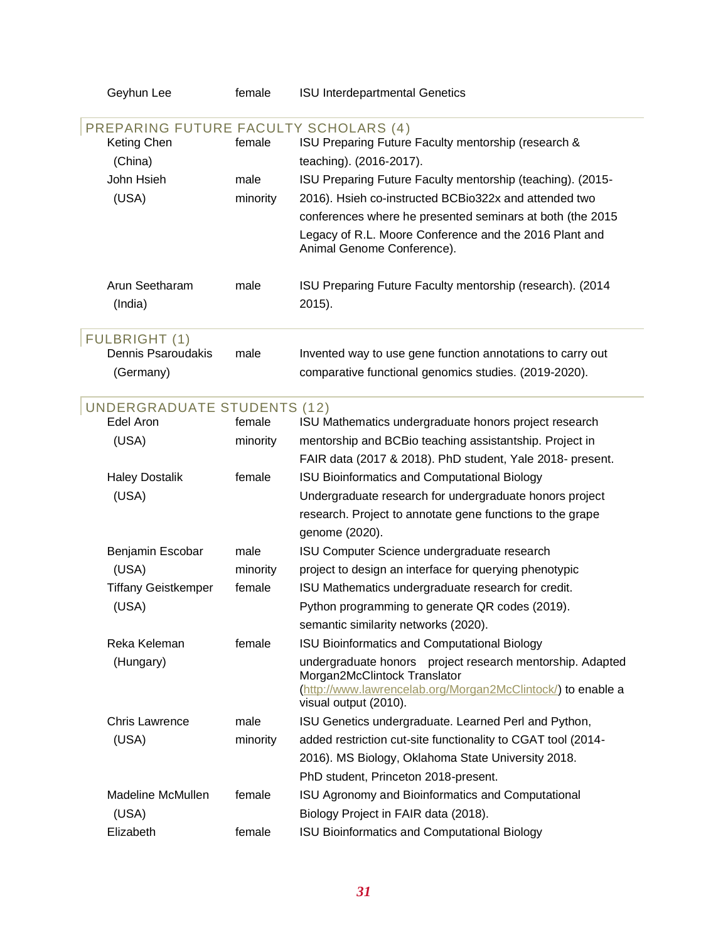| Geyhun Lee                            | female   | <b>ISU Interdepartmental Genetics</b>                                                       |
|---------------------------------------|----------|---------------------------------------------------------------------------------------------|
| PREPARING FUTURE FACULTY SCHOLARS (4) |          |                                                                                             |
| Keting Chen                           | female   | ISU Preparing Future Faculty mentorship (research &                                         |
| (China)                               |          | teaching). (2016-2017).                                                                     |
| John Hsieh                            | male     | ISU Preparing Future Faculty mentorship (teaching). (2015-                                  |
| (USA)                                 | minority | 2016). Hsieh co-instructed BCBio322x and attended two                                       |
|                                       |          | conferences where he presented seminars at both (the 2015                                   |
|                                       |          | Legacy of R.L. Moore Conference and the 2016 Plant and<br>Animal Genome Conference).        |
| Arun Seetharam<br>(India)             | male     | ISU Preparing Future Faculty mentorship (research). (2014<br>2015).                         |
| <b>FULBRIGHT (1)</b>                  |          |                                                                                             |
| Dennis Psaroudakis                    | male     | Invented way to use gene function annotations to carry out                                  |
| (Germany)                             |          | comparative functional genomics studies. (2019-2020).                                       |
| <b>UNDERGRADUATE STUDENTS (12)</b>    |          |                                                                                             |
| Edel Aron                             | female   | ISU Mathematics undergraduate honors project research                                       |
| (USA)                                 | minority | mentorship and BCBio teaching assistantship. Project in                                     |
|                                       |          | FAIR data (2017 & 2018). PhD student, Yale 2018- present.                                   |
| <b>Haley Dostalik</b>                 | female   | ISU Bioinformatics and Computational Biology                                                |
| (USA)                                 |          | Undergraduate research for undergraduate honors project                                     |
|                                       |          | research. Project to annotate gene functions to the grape                                   |
|                                       |          | genome (2020).                                                                              |
| Benjamin Escobar                      | male     | ISU Computer Science undergraduate research                                                 |
| (USA)                                 | minority | project to design an interface for querying phenotypic                                      |
| <b>Tiffany Geistkemper</b>            | female   | ISU Mathematics undergraduate research for credit.                                          |
| (USA)                                 |          | Python programming to generate QR codes (2019).                                             |
|                                       |          | semantic similarity networks (2020).                                                        |
| Reka Keleman                          | female   | <b>ISU Bioinformatics and Computational Biology</b>                                         |
| (Hungary)                             |          | undergraduate honors project research mentorship. Adapted                                   |
|                                       |          | Morgan2McClintock Translator<br>(http://www.lawrencelab.org/Morgan2McClintock/) to enable a |
|                                       |          | visual output (2010).                                                                       |
| <b>Chris Lawrence</b>                 | male     | ISU Genetics undergraduate. Learned Perl and Python,                                        |
| (USA)                                 | minority | added restriction cut-site functionality to CGAT tool (2014-                                |
|                                       |          | 2016). MS Biology, Oklahoma State University 2018.                                          |
|                                       |          | PhD student, Princeton 2018-present.                                                        |
| Madeline McMullen                     | female   | ISU Agronomy and Bioinformatics and Computational                                           |
| (USA)                                 |          | Biology Project in FAIR data (2018).                                                        |
| Elizabeth                             | female   | ISU Bioinformatics and Computational Biology                                                |
|                                       |          |                                                                                             |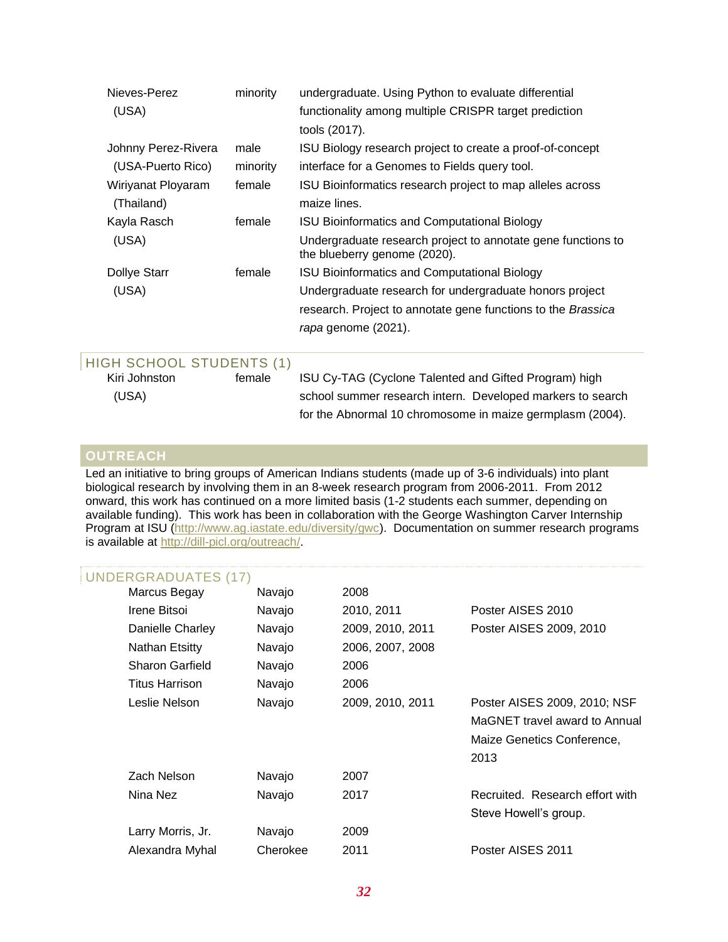| Nieves-Perez        | minority | undergraduate. Using Python to evaluate differential                                         |  |
|---------------------|----------|----------------------------------------------------------------------------------------------|--|
| (USA)               |          | functionality among multiple CRISPR target prediction                                        |  |
|                     |          | tools (2017).                                                                                |  |
| Johnny Perez-Rivera | male     | ISU Biology research project to create a proof-of-concept                                    |  |
| (USA-Puerto Rico)   | minority | interface for a Genomes to Fields query tool.                                                |  |
| Wiriyanat Ployaram  | female   | ISU Bioinformatics research project to map alleles across                                    |  |
| (Thailand)          |          | maize lines.                                                                                 |  |
| Kayla Rasch         | female   | ISU Bioinformatics and Computational Biology                                                 |  |
| (USA)               |          | Undergraduate research project to annotate gene functions to<br>the blueberry genome (2020). |  |
| <b>Dollye Starr</b> | female   | <b>ISU Bioinformatics and Computational Biology</b>                                          |  |
| (USA)               |          | Undergraduate research for undergraduate honors project                                      |  |
|                     |          | research. Project to annotate gene functions to the Brassica                                 |  |
|                     |          | rapa genome (2021).                                                                          |  |
|                     |          |                                                                                              |  |

## HIGH SCHOOL STUDENTS (1)

Kiri Johnston female ISU Cy-TAG (Cyclone Talented and Gifted Program) high (USA) school summer research intern. Developed markers to search for the Abnormal 10 chromosome in maize germplasm (2004).

## **OUTREACH**

Led an initiative to bring groups of American Indians students (made up of 3-6 individuals) into plant biological research by involving them in an 8-week research program from 2006-2011. From 2012 onward, this work has continued on a more limited basis (1-2 students each summer, depending on available funding). This work has been in collaboration with the George Washington Carver Internship Program at ISU [\(http://www.ag.iastate.edu/diversity/gwc\)](http://www.ag.iastate.edu/diversity/gwc). Documentation on summer research programs is available at [http://dill-picl.org/outreach/.](http://dill-picl.org/outreach/)

## UNDERGRADUATES (17)

| Marcus Begay           | Navajo   | 2008             |                                 |
|------------------------|----------|------------------|---------------------------------|
| Irene Bitsoi           | Navajo   | 2010, 2011       | Poster AISES 2010               |
| Danielle Charley       | Navajo   | 2009, 2010, 2011 | Poster AISES 2009, 2010         |
| Nathan Etsitty         | Navajo   | 2006, 2007, 2008 |                                 |
| <b>Sharon Garfield</b> | Navajo   | 2006             |                                 |
| <b>Titus Harrison</b>  | Navajo   | 2006             |                                 |
| Leslie Nelson          | Navajo   | 2009, 2010, 2011 | Poster AISES 2009, 2010; NSF    |
|                        |          |                  | MaGNET travel award to Annual   |
|                        |          |                  | Maize Genetics Conference,      |
|                        |          |                  | 2013                            |
| Zach Nelson            | Navajo   | 2007             |                                 |
| Nina Nez               | Navajo   | 2017             | Recruited. Research effort with |
|                        |          |                  | Steve Howell's group.           |
| Larry Morris, Jr.      | Navajo   | 2009             |                                 |
| Alexandra Myhal        | Cherokee | 2011             | Poster AISES 2011               |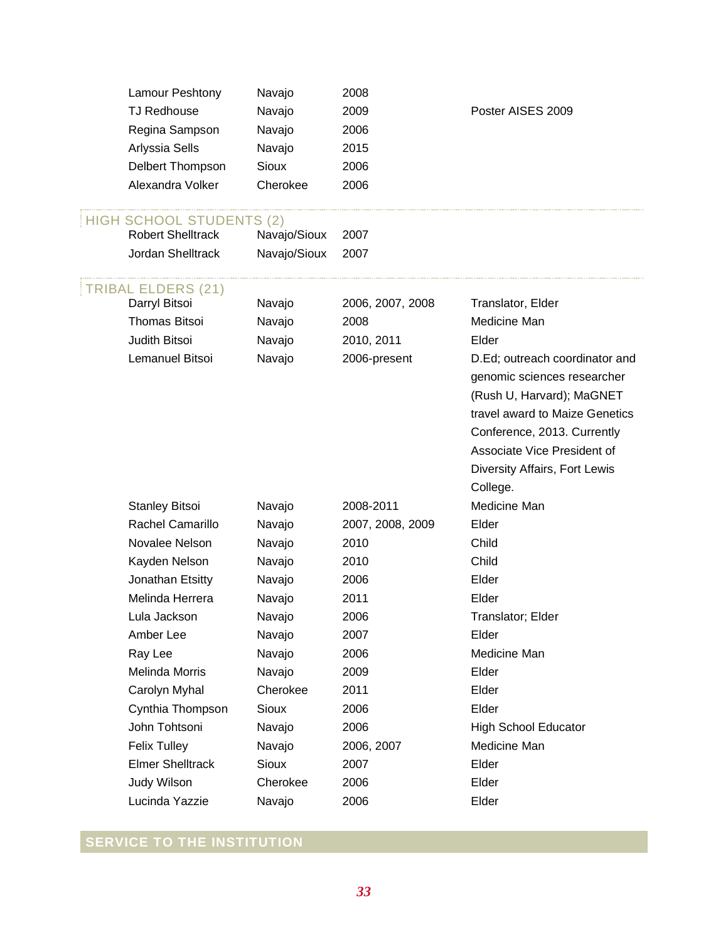|                  | Lamour Peshtony                                             | Navajo       | 2008             |                                                               |
|------------------|-------------------------------------------------------------|--------------|------------------|---------------------------------------------------------------|
|                  | <b>TJ Redhouse</b>                                          | Navajo       | 2009             | Poster AISES 2009                                             |
|                  | Regina Sampson                                              | Navajo       | 2006             |                                                               |
|                  | Arlyssia Sells                                              | Navajo       | 2015             |                                                               |
|                  | Delbert Thompson                                            | <b>Sioux</b> | 2006             |                                                               |
| Alexandra Volker |                                                             | Cherokee     | 2006             |                                                               |
|                  | <b>HIGH SCHOOL STUDENTS (2)</b><br><b>Robert Shelltrack</b> | Navajo/Sioux | 2007             |                                                               |
|                  | Jordan Shelltrack                                           | Navajo/Sioux | 2007             |                                                               |
|                  | <b>TRIBAL ELDERS (21)</b>                                   |              |                  |                                                               |
|                  | Darryl Bitsoi                                               | Navajo       | 2006, 2007, 2008 | Translator, Elder                                             |
|                  | <b>Thomas Bitsoi</b>                                        | Navajo       | 2008             | Medicine Man                                                  |
|                  | Judith Bitsoi                                               | Navajo       | 2010, 2011       | Elder                                                         |
|                  | Lemanuel Bitsoi                                             | Navajo       | 2006-present     | D.Ed; outreach coordinator and<br>genomic sciences researcher |
|                  |                                                             |              |                  | (Rush U, Harvard); MaGNET                                     |
|                  |                                                             |              |                  | travel award to Maize Genetics                                |
|                  |                                                             |              |                  | Conference, 2013. Currently                                   |
|                  |                                                             |              |                  | Associate Vice President of                                   |
|                  |                                                             |              |                  | Diversity Affairs, Fort Lewis                                 |
|                  |                                                             |              |                  | College.                                                      |
|                  | <b>Stanley Bitsoi</b>                                       | Navajo       | 2008-2011        | Medicine Man                                                  |
|                  | Rachel Camarillo                                            | Navajo       | 2007, 2008, 2009 | Elder                                                         |
|                  | Novalee Nelson                                              | Navajo       | 2010             | Child                                                         |
|                  | Kayden Nelson                                               | Navajo       | 2010             | Child                                                         |
|                  | Jonathan Etsitty                                            | Navajo       | 2006             | Elder                                                         |
|                  | Melinda Herrera                                             | Navajo       | 2011             | Elder                                                         |
|                  | Lula Jackson                                                | Navajo       | 2006             | Translator; Elder                                             |
|                  | Amber Lee                                                   | Navajo       | 2007             | Elder                                                         |
|                  | Ray Lee                                                     | Navajo       | 2006             | Medicine Man                                                  |
|                  | <b>Melinda Morris</b>                                       | Navajo       | 2009             | Elder                                                         |
|                  | Carolyn Myhal                                               | Cherokee     | 2011             | Elder                                                         |
|                  | Cynthia Thompson                                            | <b>Sioux</b> | 2006             | Elder                                                         |
|                  | John Tohtsoni                                               | Navajo       | 2006             | <b>High School Educator</b>                                   |
|                  | <b>Felix Tulley</b>                                         | Navajo       | 2006, 2007       | Medicine Man                                                  |
|                  | <b>Elmer Shelltrack</b>                                     | <b>Sioux</b> | 2007             | Elder                                                         |
|                  | Judy Wilson                                                 | Cherokee     | 2006             | Elder                                                         |
|                  | Lucinda Yazzie                                              | Navajo       | 2006             | Elder                                                         |

## **SERVICE TO THE INSTITUTION**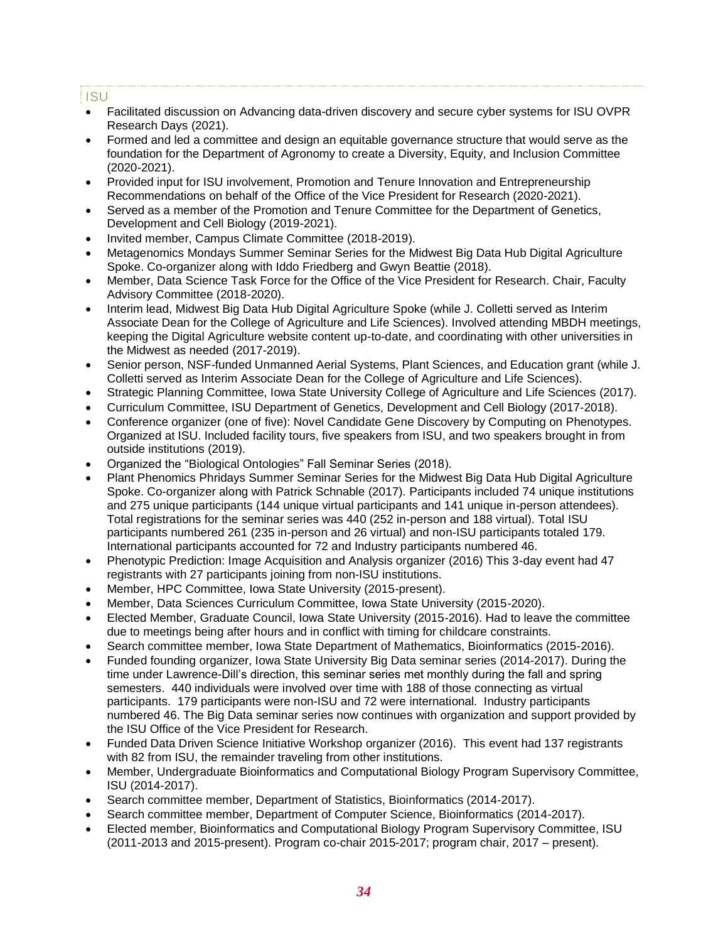## ISU

- Facilitated discussion on Advancing data-driven discovery and secure cyber systems for ISU OVPR Research Days (2021).
- Formed and led a committee and design an equitable governance structure that would serve as the foundation for the Department of Agronomy to create a Diversity, Equity, and Inclusion Committee (2020-2021).
- Provided input for ISU involvement, Promotion and Tenure Innovation and Entrepreneurship Recommendations on behalf of the Office of the Vice President for Research (2020-2021).
- Served as a member of the Promotion and Tenure Committee for the Department of Genetics, Development and Cell Biology (2019-2021).
- Invited member, Campus Climate Committee (2018-2019).
- Metagenomics Mondays Summer Seminar Series for the Midwest Big Data Hub Digital Agriculture Spoke. Co-organizer along with Iddo Friedberg and Gwyn Beattie (2018).
- Member, Data Science Task Force for the Office of the Vice President for Research. Chair, Faculty Advisory Committee (2018-2020).
- Interim lead, Midwest Big Data Hub Digital Agriculture Spoke (while J. Colletti served as Interim Associate Dean for the College of Agriculture and Life Sciences). Involved attending MBDH meetings, keeping the Digital Agriculture website content up-to-date, and coordinating with other universities in the Midwest as needed (2017-2019).
- Senior person, NSF-funded Unmanned Aerial Systems, Plant Sciences, and Education grant (while J. Colletti served as Interim Associate Dean for the College of Agriculture and Life Sciences).
- Strategic Planning Committee, Iowa State University College of Agriculture and Life Sciences (2017).
- Curriculum Committee, ISU Department of Genetics, Development and Cell Biology (2017-2018).
- Conference organizer (one of five): Novel Candidate Gene Discovery by Computing on Phenotypes. Organized at ISU. Included facility tours, five speakers from ISU, and two speakers brought in from outside institutions (2019).
- Organized the "Biological Ontologies" Fall Seminar Series (2018).
- Plant Phenomics Phridays Summer Seminar Series for the Midwest Big Data Hub Digital Agriculture Spoke. Co-organizer along with Patrick Schnable (2017). Participants included 74 unique institutions and 275 unique participants (144 unique virtual participants and 141 unique in-person attendees). Total registrations for the seminar series was 440 (252 in-person and 188 virtual). Total ISU participants numbered 261 (235 in-person and 26 virtual) and non-ISU participants totaled 179. International participants accounted for 72 and Industry participants numbered 46.
- Phenotypic Prediction: Image Acquisition and Analysis organizer (2016) This 3-day event had 47 registrants with 27 participants joining from non-ISU institutions.
- Member, HPC Committee, Iowa State University (2015-present).
- Member, Data Sciences Curriculum Committee, Iowa State University (2015-2020).
- Elected Member, Graduate Council, Iowa State University (2015-2016). Had to leave the committee due to meetings being after hours and in conflict with timing for childcare constraints.
- Search committee member, Iowa State Department of Mathematics, Bioinformatics (2015-2016).
- Funded founding organizer, Iowa State University Big Data seminar series (2014-2017). During the time under Lawrence-Dill's direction, this seminar series met monthly during the fall and spring semesters. 440 individuals were involved over time with 188 of those connecting as virtual participants. 179 participants were non-ISU and 72 were international. Industry participants numbered 46. The Big Data seminar series now continues with organization and support provided by the ISU Office of the Vice President for Research.
- Funded Data Driven Science Initiative Workshop organizer (2016). This event had 137 registrants with 82 from ISU, the remainder traveling from other institutions.
- Member, Undergraduate Bioinformatics and Computational Biology Program Supervisory Committee, ISU (2014-2017).
- Search committee member, Department of Statistics, Bioinformatics (2014-2017).
- Search committee member, Department of Computer Science, Bioinformatics (2014-2017).
- Elected member, Bioinformatics and Computational Biology Program Supervisory Committee, ISU (2011-2013 and 2015-present). Program co-chair 2015-2017; program chair, 2017 – present).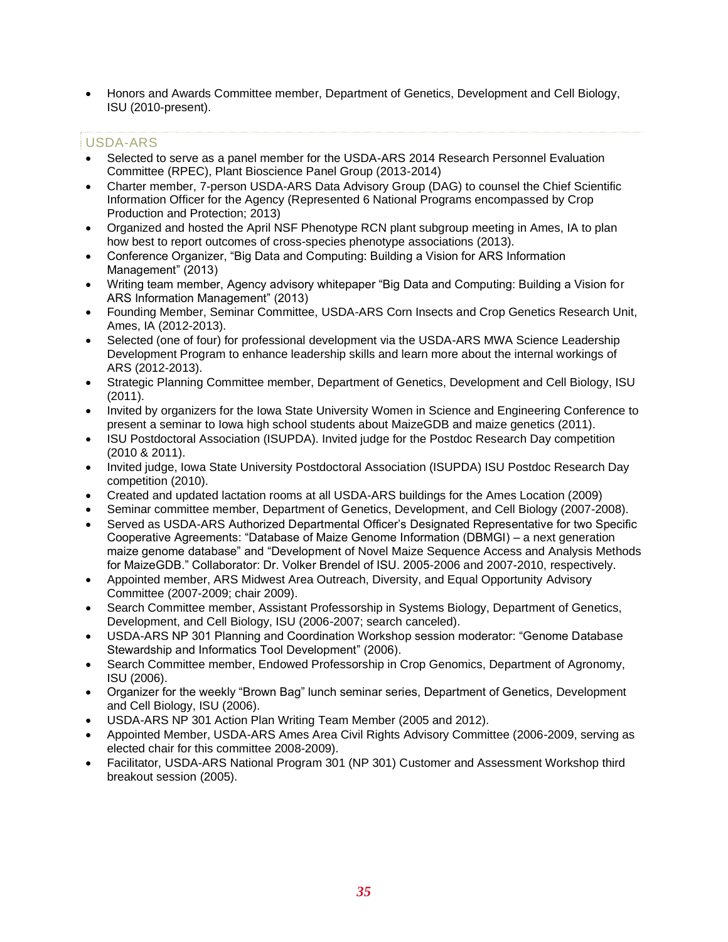• Honors and Awards Committee member, Department of Genetics, Development and Cell Biology, ISU (2010-present).

## USDA-ARS

- Selected to serve as a panel member for the USDA-ARS 2014 Research Personnel Evaluation Committee (RPEC), Plant Bioscience Panel Group (2013-2014)
- Charter member, 7-person USDA-ARS Data Advisory Group (DAG) to counsel the Chief Scientific Information Officer for the Agency (Represented 6 National Programs encompassed by Crop Production and Protection; 2013)
- Organized and hosted the April NSF Phenotype RCN plant subgroup meeting in Ames, IA to plan how best to report outcomes of cross-species phenotype associations (2013).
- Conference Organizer, "Big Data and Computing: Building a Vision for ARS Information Management" (2013)
- Writing team member, Agency advisory whitepaper "Big Data and Computing: Building a Vision for ARS Information Management" (2013)
- Founding Member, Seminar Committee, USDA-ARS Corn Insects and Crop Genetics Research Unit, Ames, IA (2012-2013).
- Selected (one of four) for professional development via the USDA-ARS MWA Science Leadership Development Program to enhance leadership skills and learn more about the internal workings of ARS (2012-2013).
- Strategic Planning Committee member, Department of Genetics, Development and Cell Biology, ISU (2011).
- Invited by organizers for the Iowa State University Women in Science and Engineering Conference to present a seminar to Iowa high school students about MaizeGDB and maize genetics (2011).
- ISU Postdoctoral Association (ISUPDA). Invited judge for the Postdoc Research Day competition (2010 & 2011).
- Invited judge, Iowa State University Postdoctoral Association (ISUPDA) ISU Postdoc Research Day competition (2010).
- Created and updated lactation rooms at all USDA-ARS buildings for the Ames Location (2009)
- Seminar committee member, Department of Genetics, Development, and Cell Biology (2007-2008).
- Served as USDA-ARS Authorized Departmental Officer's Designated Representative for two Specific Cooperative Agreements: "Database of Maize Genome Information (DBMGI) – a next generation maize genome database" and "Development of Novel Maize Sequence Access and Analysis Methods for MaizeGDB." Collaborator: Dr. Volker Brendel of ISU. 2005-2006 and 2007-2010, respectively.
- Appointed member, ARS Midwest Area Outreach, Diversity, and Equal Opportunity Advisory Committee (2007-2009; chair 2009).
- Search Committee member, Assistant Professorship in Systems Biology, Department of Genetics, Development, and Cell Biology, ISU (2006-2007; search canceled).
- USDA-ARS NP 301 Planning and Coordination Workshop session moderator: "Genome Database Stewardship and Informatics Tool Development" (2006).
- Search Committee member, Endowed Professorship in Crop Genomics, Department of Agronomy, ISU (2006).
- Organizer for the weekly "Brown Bag" lunch seminar series, Department of Genetics, Development and Cell Biology, ISU (2006).
- USDA-ARS NP 301 Action Plan Writing Team Member (2005 and 2012).
- Appointed Member, USDA-ARS Ames Area Civil Rights Advisory Committee (2006-2009, serving as elected chair for this committee 2008-2009).
- Facilitator, USDA-ARS National Program 301 (NP 301) Customer and Assessment Workshop third breakout session (2005).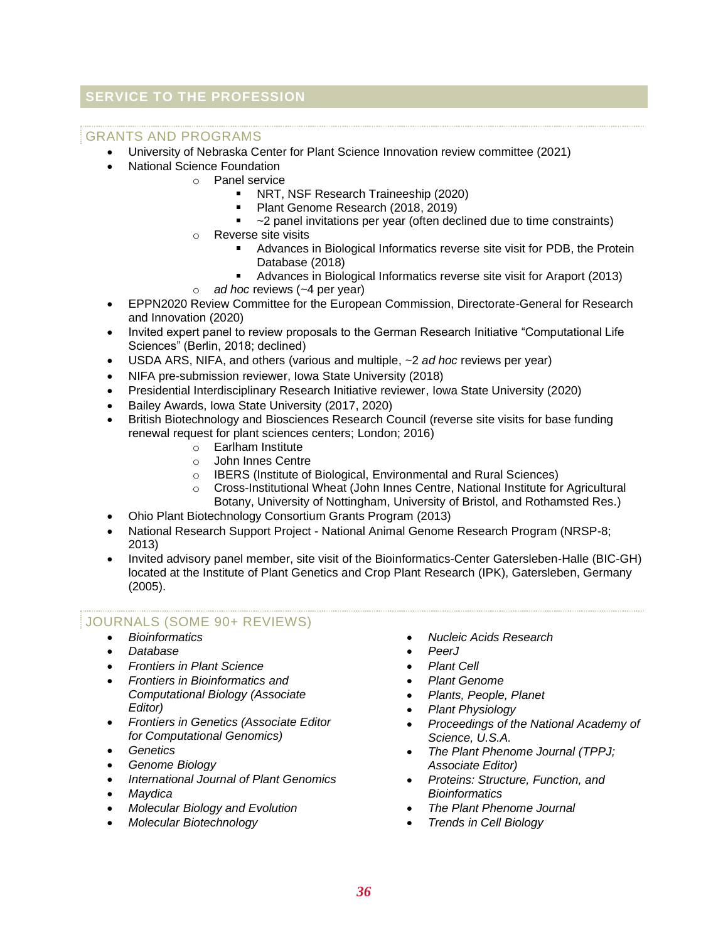## **SERVICE TO THE PROFESSION**

## GRANTS AND PROGRAMS

- University of Nebraska Center for Plant Science Innovation review committee (2021)
- National Science Foundation
	- o Panel service
		- a. NRT, NSF Research Traineeship (2020)
		- Plant Genome Research (2018, 2019)
		- $\blacksquare$ ~2 panel invitations per year (often declined due to time constraints)
		- o Reverse site visits
			- **Advances in Biological Informatics reverse site visit for PDB, the Protein** Database (2018)
			- Advances in Biological Informatics reverse site visit for Araport (2013)
		- o *ad hoc* reviews (~4 per year)
- EPPN2020 Review Committee for the European Commission, Directorate-General for Research and Innovation (2020)
- Invited expert panel to review proposals to the German Research Initiative "Computational Life Sciences" (Berlin, 2018; declined)
- USDA ARS, NIFA, and others (various and multiple, ~2 *ad hoc* reviews per year)
- NIFA pre-submission reviewer, Iowa State University (2018)
- Presidential Interdisciplinary Research Initiative reviewer, Iowa State University (2020)
- Bailey Awards, Iowa State University (2017, 2020)
- British Biotechnology and Biosciences Research Council (reverse site visits for base funding renewal request for plant sciences centers; London; 2016)
	- o Earlham Institute
	- o John Innes Centre
	- o IBERS (Institute of Biological, Environmental and Rural Sciences)
	- o Cross-Institutional Wheat (John Innes Centre, National Institute for Agricultural Botany, University of Nottingham, University of Bristol, and Rothamsted Res.)
- Ohio Plant Biotechnology Consortium Grants Program (2013)
- National Research Support Project National Animal Genome Research Program (NRSP-8; 2013)
- Invited advisory panel member, site visit of the Bioinformatics-Center Gatersleben-Halle (BIC-GH) located at the Institute of Plant Genetics and Crop Plant Research (IPK), Gatersleben, Germany (2005).

## JOURNALS (SOME 90+ REVIEWS)

- *Bioinformatics*
- *Database*
- *Frontiers in Plant Science*
- *Frontiers in Bioinformatics and Computational Biology (Associate Editor)*
- *Frontiers in Genetics (Associate Editor for Computational Genomics)*
- *Genetics*
- *Genome Biology*
- *International Journal of Plant Genomics*
- *Maydica*
- *Molecular Biology and Evolution*
- *Molecular Biotechnology*
- *Nucleic Acids Research*
- *PeerJ*
- *Plant Cell*
- *Plant Genome*
- *Plants, People, Planet*
- *Plant Physiology*
- *Proceedings of the National Academy of Science, U.S.A.*
- *The Plant Phenome Journal (TPPJ; Associate Editor)*
- *Proteins: Structure, Function, and Bioinformatics*
- *The Plant Phenome Journal*
- *Trends in Cell Biology*